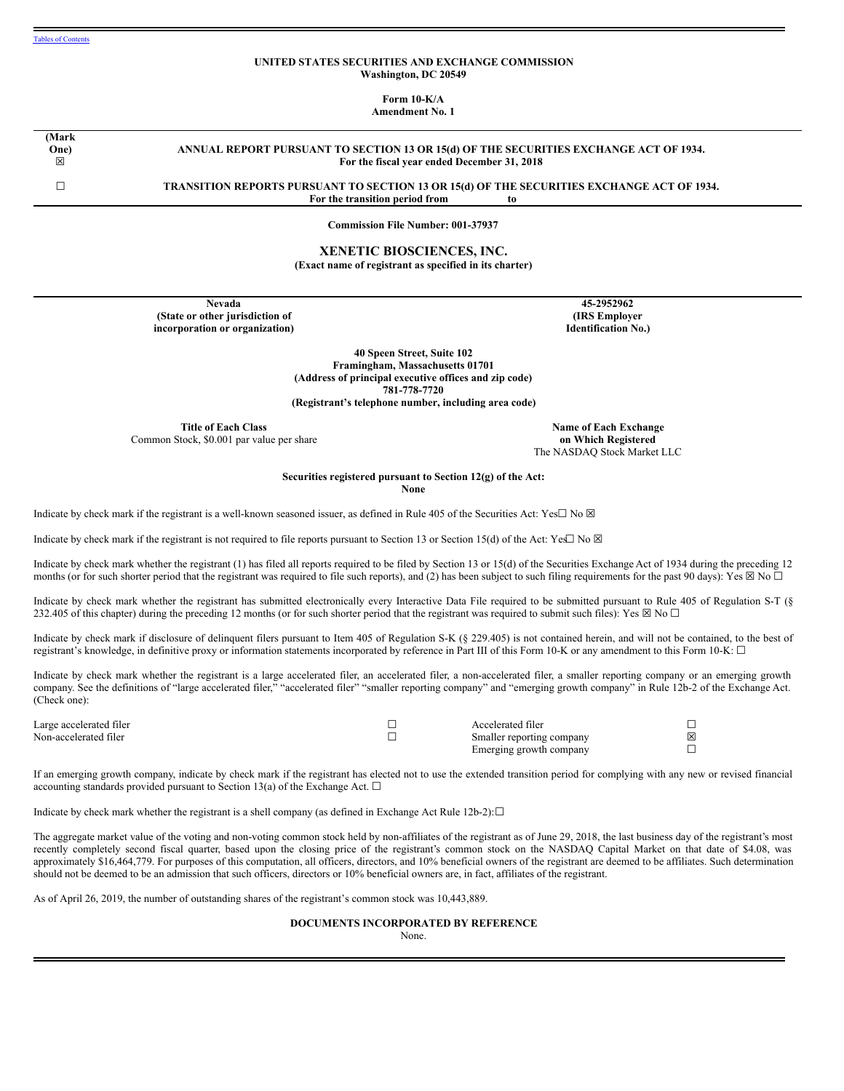### **UNITED STATES SECURITIES AND EXCHANGE COMMISSION Washington, DC 20549**

**Form 10-K/A**

**Amendment No. 1**

**(Mark One)**  $\boxtimes$ 

## **ANNUAL REPORT PURSUANT TO SECTION 13 OR 15(d) OF THE SECURITIES EXCHANGE ACT OF 1934. For the fiscal year ended December 31, 2018**

☐ **TRANSITION REPORTS PURSUANT TO SECTION 13 OR 15(d) OF THE SECURITIES EXCHANGE ACT OF 1934. For the transition period from to**

#### **Commission File Number: 001-37937**

### **XENETIC BIOSCIENCES, INC. (Exact name of registrant as specified in its charter)**

**Nevada (State or other jurisdiction of incorporation or organization)**

**45-2952962 (IRS Employer Identification No.)**

**40 Speen Street, Suite 102 Framingham, Massachusetts 01701 (Address of principal executive offices and zip code) 781-778-7720 (Registrant's telephone number, including area code)**

**Title of Each Class**

Common Stock, \$0.001 par value per share

**Name of Each Exchange on Which Registered** The NASDAQ Stock Market LLC

**Securities registered pursuant to Section 12(g) of the Act:**

**None**

Indicate by check mark if the registrant is a well-known seasoned issuer, as defined in Rule 405 of the Securities Act: Yes□ No ⊠

Indicate by check mark if the registrant is not required to file reports pursuant to Section 13 or Section 15(d) of the Act: Yes $\Box$  No  $\boxtimes$ 

Indicate by check mark whether the registrant (1) has filed all reports required to be filed by Section 13 or 15(d) of the Securities Exchange Act of 1934 during the preceding 12 months (or for such shorter period that the registrant was required to file such reports), and (2) has been subject to such filing requirements for the past 90 days): Yes  $\boxtimes$  No  $\Box$ 

Indicate by check mark whether the registrant has submitted electronically every Interactive Data File required to be submitted pursuant to Rule 405 of Regulation S-T (§ 232.405 of this chapter) during the preceding 12 months (or for such shorter period that the registrant was required to submit such files): Yes  $\boxtimes$  No  $\Box$ 

Indicate by check mark if disclosure of delinquent filers pursuant to Item 405 of Regulation S-K (§ 229.405) is not contained herein, and will not be contained, to the best of registrant's knowledge, in definitive proxy or information statements incorporated by reference in Part III of this Form 10-K or any amendment to this Form 10-K: □

Indicate by check mark whether the registrant is a large accelerated filer, an accelerated filer, a non-accelerated filer, a smaller reporting company or an emerging growth company. See the definitions of "large accelerated filer," "accelerated filer" "smaller reporting company" and "emerging growth company" in Rule 12b-2 of the Exchange Act. (Check one):

| Large accelerated filer | Accelerated filer         |   |
|-------------------------|---------------------------|---|
| Non-accelerated filer   | Smaller reporting company | 冈 |
|                         | Emerging growth company   |   |

If an emerging growth company, indicate by check mark if the registrant has elected not to use the extended transition period for complying with any new or revised financial accounting standards provided pursuant to Section 13(a) of the Exchange Act.  $\Box$ 

Indicate by check mark whether the registrant is a shell company (as defined in Exchange Act Rule 12b-2): $\Box$ 

The aggregate market value of the voting and non-voting common stock held by non-affiliates of the registrant as of June 29, 2018, the last business day of the registrant's most recently completely second fiscal quarter, based upon the closing price of the registrant's common stock on the NASDAQ Capital Market on that date of \$4.08, was approximately \$16,464,779. For purposes of this computation, all officers, directors, and 10% beneficial owners of the registrant are deemed to be affiliates. Such determination should not be deemed to be an admission that such officers, directors or 10% beneficial owners are, in fact, affiliates of the registrant.

As of April 26, 2019, the number of outstanding shares of the registrant's common stock was 10,443,889.

### **DOCUMENTS INCORPORATED BY REFERENCE**

None.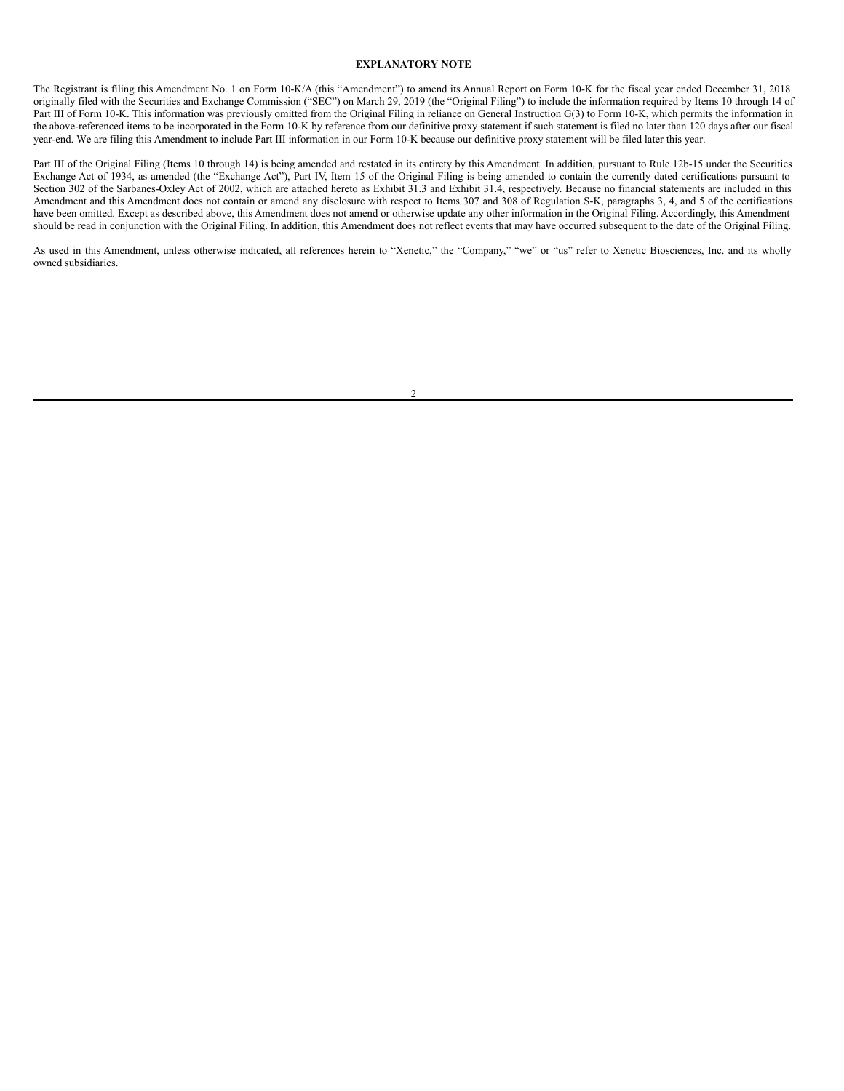#### **EXPLANATORY NOTE**

The Registrant is filing this Amendment No. 1 on Form 10-K/A (this "Amendment") to amend its Annual Report on Form 10-K for the fiscal year ended December 31, 2018 originally filed with the Securities and Exchange Commission ("SEC") on March 29, 2019 (the "Original Filing") to include the information required by Items 10 through 14 of Part III of Form 10-K. This information was previously omitted from the Original Filing in reliance on General Instruction G(3) to Form 10-K, which permits the information in the above-referenced items to be incorporated in the Form 10-K by reference from our definitive proxy statement if such statement is filed no later than 120 days after our fiscal year-end. We are filing this Amendment to include Part III information in our Form 10-K because our definitive proxy statement will be filed later this year.

Part III of the Original Filing (Items 10 through 14) is being amended and restated in its entirety by this Amendment. In addition, pursuant to Rule 12b-15 under the Securities Exchange Act of 1934, as amended (the "Exchange Act"), Part IV, Item 15 of the Original Filing is being amended to contain the currently dated certifications pursuant to Section 302 of the Sarbanes-Oxley Act of 2002, which are attached hereto as Exhibit 31.3 and Exhibit 31.4, respectively. Because no financial statements are included in this Amendment and this Amendment does not contain or amend any disclosure with respect to Items 307 and 308 of Regulation S-K, paragraphs 3, 4, and 5 of the certifications have been omitted. Except as described above, this Amendment does not amend or otherwise update any other information in the Original Filing. Accordingly, this Amendment should be read in conjunction with the Original Filing. In addition, this Amendment does not reflect events that may have occurred subsequent to the date of the Original Filing.

As used in this Amendment, unless otherwise indicated, all references herein to "Xenetic," the "Company," "we" or "us" refer to Xenetic Biosciences, Inc. and its wholly owned subsidiaries.

 $\overline{2}$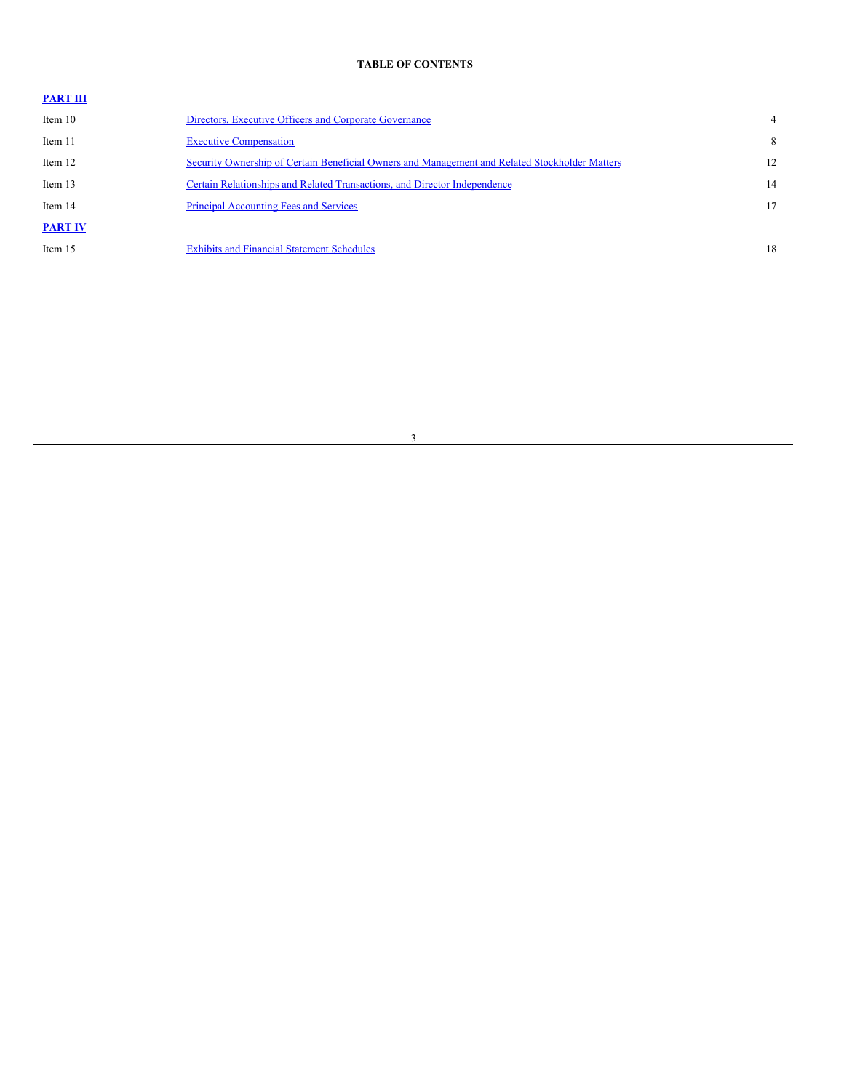# <span id="page-2-0"></span>**TABLE OF CONTENTS**

# **[PART](#page-3-0) III**

| Item 10        | Directors, Executive Officers and Corporate Governance                                         |    |
|----------------|------------------------------------------------------------------------------------------------|----|
| Item 11        | <b>Executive Compensation</b>                                                                  | 8  |
| Item 12        | Security Ownership of Certain Beneficial Owners and Management and Related Stockholder Matters | 12 |
| Item 13        | Certain Relationships and Related Transactions, and Director Independence                      | 14 |
| Item 14        | <b>Principal Accounting Fees and Services</b>                                                  | 17 |
| <b>PART IV</b> |                                                                                                |    |
| Item 15        | <b>Exhibits and Financial Statement Schedules</b>                                              | 18 |

# 3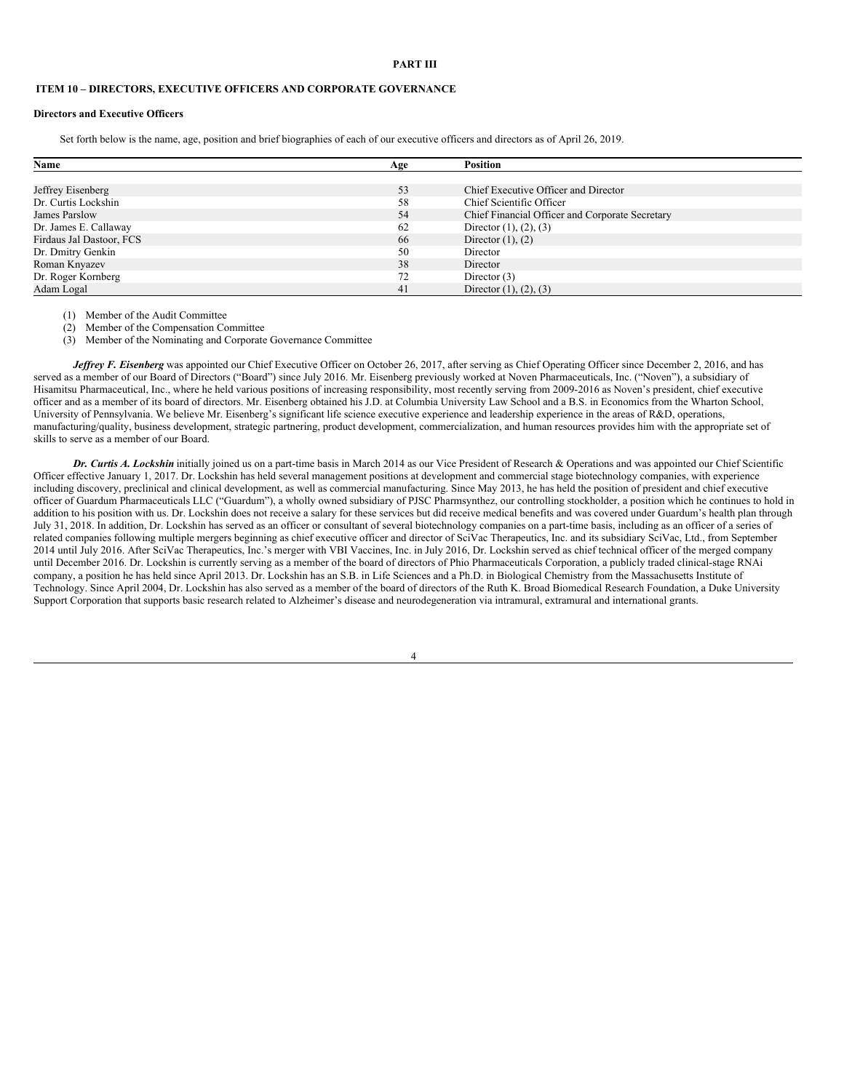#### <span id="page-3-0"></span>**PART III**

# <span id="page-3-1"></span>**ITEM 10 – DIRECTORS, EXECUTIVE OFFICERS AND CORPORATE GOVERNANCE**

### **Directors and Executive Officers**

Set forth below is the name, age, position and brief biographies of each of our executive officers and directors as of April 26, 2019.

| Name                     | Age | <b>Position</b>                                 |  |
|--------------------------|-----|-------------------------------------------------|--|
|                          |     |                                                 |  |
| Jeffrey Eisenberg        | 53  | Chief Executive Officer and Director            |  |
| Dr. Curtis Lockshin      | 58  | Chief Scientific Officer                        |  |
| James Parslow            | 54  | Chief Financial Officer and Corporate Secretary |  |
| Dr. James E. Callaway    | 62  | Director $(1)$ , $(2)$ , $(3)$                  |  |
| Firdaus Jal Dastoor, FCS | 66  | Director $(1)$ , $(2)$                          |  |
| Dr. Dmitry Genkin        | 50  | Director                                        |  |
| Roman Knyazev            | 38  | Director                                        |  |
| Dr. Roger Kornberg       | 72  | Director $(3)$                                  |  |
| Adam Logal               | 41  | Director $(1)$ , $(2)$ , $(3)$                  |  |

(1) Member of the Audit Committee

(2) Member of the Compensation Committee

(3) Member of the Nominating and Corporate Governance Committee

*Jeffrey F. Eisenberg* was appointed our Chief Executive Officer on October 26, 2017, after serving as Chief Operating Officer since December 2, 2016, and has served as a member of our Board of Directors ("Board") since July 2016. Mr. Eisenberg previously worked at Noven Pharmaceuticals, Inc. ("Noven"), a subsidiary of Hisamitsu Pharmaceutical, Inc., where he held various positions of increasing responsibility, most recently serving from 2009-2016 as Noven's president, chief executive officer and as a member of its board of directors. Mr. Eisenberg obtained his J.D. at Columbia University Law School and a B.S. in Economics from the Wharton School, University of Pennsylvania. We believe Mr. Eisenberg's significant life science executive experience and leadership experience in the areas of R&D, operations, manufacturing/quality, business development, strategic partnering, product development, commercialization, and human resources provides him with the appropriate set of skills to serve as a member of our Board.

*Dr. Curtis A. Lockshin* initially joined us on a part-time basis in March 2014 as our Vice President of Research & Operations and was appointed our Chief Scientific Officer effective January 1, 2017. Dr. Lockshin has held several management positions at development and commercial stage biotechnology companies, with experience including discovery, preclinical and clinical development, as well as commercial manufacturing. Since May 2013, he has held the position of president and chief executive officer of Guardum Pharmaceuticals LLC ("Guardum"), a wholly owned subsidiary of PJSC Pharmsynthez, our controlling stockholder, a position which he continues to hold in addition to his position with us. Dr. Lockshin does not receive a salary for these services but did receive medical benefits and was covered under Guardum's health plan through July 31, 2018. In addition, Dr. Lockshin has served as an officer or consultant of several biotechnology companies on a part-time basis, including as an officer of a series of related companies following multiple mergers beginning as chief executive officer and director of SciVac Therapeutics, Inc. and its subsidiary SciVac, Ltd., from September 2014 until July 2016. After SciVac Therapeutics, Inc.'s merger with VBI Vaccines, Inc. in July 2016, Dr. Lockshin served as chief technical officer of the merged company until December 2016. Dr. Lockshin is currently serving as a member of the board of directors of Phio Pharmaceuticals Corporation, a publicly traded clinical-stage RNAi company, a position he has held since April 2013. Dr. Lockshin has an S.B. in Life Sciences and a Ph.D. in Biological Chemistry from the Massachusetts Institute of Technology. Since April 2004, Dr. Lockshin has also served as a member of the board of directors of the Ruth K. Broad Biomedical Research Foundation, a Duke University Support Corporation that supports basic research related to Alzheimer's disease and neurodegeneration via intramural, extramural and international grants.

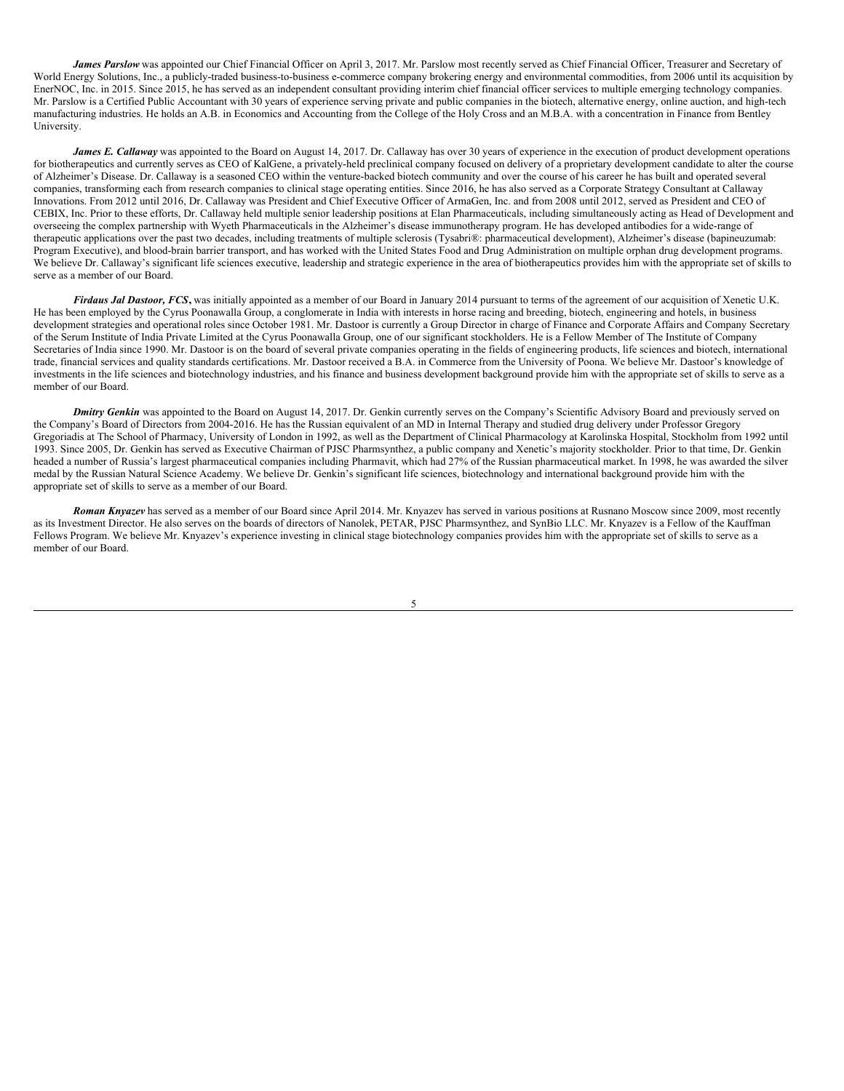*James Parslow* was appointed our Chief Financial Officer on April 3, 2017. Mr. Parslow most recently served as Chief Financial Officer, Treasurer and Secretary of World Energy Solutions, Inc., a publicly-traded business-to-business e-commerce company brokering energy and environmental commodities, from 2006 until its acquisition by EnerNOC, Inc. in 2015. Since 2015, he has served as an independent consultant providing interim chief financial officer services to multiple emerging technology companies. Mr. Parslow is a Certified Public Accountant with 30 years of experience serving private and public companies in the biotech, alternative energy, online auction, and high-tech manufacturing industries. He holds an A.B. in Economics and Accounting from the College of the Holy Cross and an M.B.A. with a concentration in Finance from Bentley University.

*James E. Callaway* was appointed to the Board on August 14, 2017. Dr. Callaway has over 30 years of experience in the execution of product development operations for biotherapeutics and currently serves as CEO of KalGene, a privately-held preclinical company focused on delivery of a proprietary development candidate to alter the course of Alzheimer's Disease. Dr. Callaway is a seasoned CEO within the venture-backed biotech community and over the course of his career he has built and operated several companies, transforming each from research companies to clinical stage operating entities. Since 2016, he has also served as a Corporate Strategy Consultant at Callaway Innovations. From 2012 until 2016, Dr. Callaway was President and Chief Executive Officer of ArmaGen, Inc. and from 2008 until 2012, served as President and CEO of CEBIX, Inc. Prior to these efforts, Dr. Callaway held multiple senior leadership positions at Elan Pharmaceuticals, including simultaneously acting as Head of Development and overseeing the complex partnership with Wyeth Pharmaceuticals in the Alzheimer's disease immunotherapy program. He has developed antibodies for a wide-range of therapeutic applications over the past two decades, including treatments of multiple sclerosis (Tysabri®: pharmaceutical development), Alzheimer's disease (bapineuzumab: Program Executive), and blood-brain barrier transport, and has worked with the United States Food and Drug Administration on multiple orphan drug development programs. We believe Dr. Callaway's significant life sciences executive, leadership and strategic experience in the area of biotherapeutics provides him with the appropriate set of skills to serve as a member of our Board.

*Firdaus Jal Dastoor, FCS***,** was initially appointed as a member of our Board in January 2014 pursuant to terms of the agreement of our acquisition of Xenetic U.K. He has been employed by the Cyrus Poonawalla Group, a conglomerate in India with interests in horse racing and breeding, biotech, engineering and hotels, in business development strategies and operational roles since October 1981. Mr. Dastoor is currently a Group Director in charge of Finance and Corporate Affairs and Company Secretary of the Serum Institute of India Private Limited at the Cyrus Poonawalla Group, one of our significant stockholders. He is a Fellow Member of The Institute of Company Secretaries of India since 1990. Mr. Dastoor is on the board of several private companies operating in the fields of engineering products, life sciences and biotech, international trade, financial services and quality standards certifications. Mr. Dastoor received a B.A. in Commerce from the University of Poona. We believe Mr. Dastoor's knowledge of investments in the life sciences and biotechnology industries, and his finance and business development background provide him with the appropriate set of skills to serve as a member of our Board.

**Dmitry Genkin** was appointed to the Board on August 14, 2017. Dr. Genkin currently serves on the Company's Scientific Advisory Board and previously served on the Company's Board of Directors from 2004-2016. He has the Russian equivalent of an MD in Internal Therapy and studied drug delivery under Professor Gregory Gregoriadis at The School of Pharmacy, University of London in 1992, as well as the Department of Clinical Pharmacology at Karolinska Hospital, Stockholm from 1992 until 1993. Since 2005, Dr. Genkin has served as Executive Chairman of PJSC Pharmsynthez, a public company and Xenetic's majority stockholder. Prior to that time, Dr. Genkin headed a number of Russia's largest pharmaceutical companies including Pharmavit, which had 27% of the Russian pharmaceutical market. In 1998, he was awarded the silver medal by the Russian Natural Science Academy. We believe Dr. Genkin's significant life sciences, biotechnology and international background provide him with the appropriate set of skills to serve as a member of our Board.

*Roman Knyazev* has served as a member of our Board since April 2014. Mr. Knyazev has served in various positions at Rusnano Moscow since 2009, most recently as its Investment Director. He also serves on the boards of directors of Nanolek, PETAR, PJSC Pharmsynthez, and SynBio LLC. Mr. Knyazev is a Fellow of the Kauffman Fellows Program. We believe Mr. Knyazev's experience investing in clinical stage biotechnology companies provides him with the appropriate set of skills to serve as a member of our Board.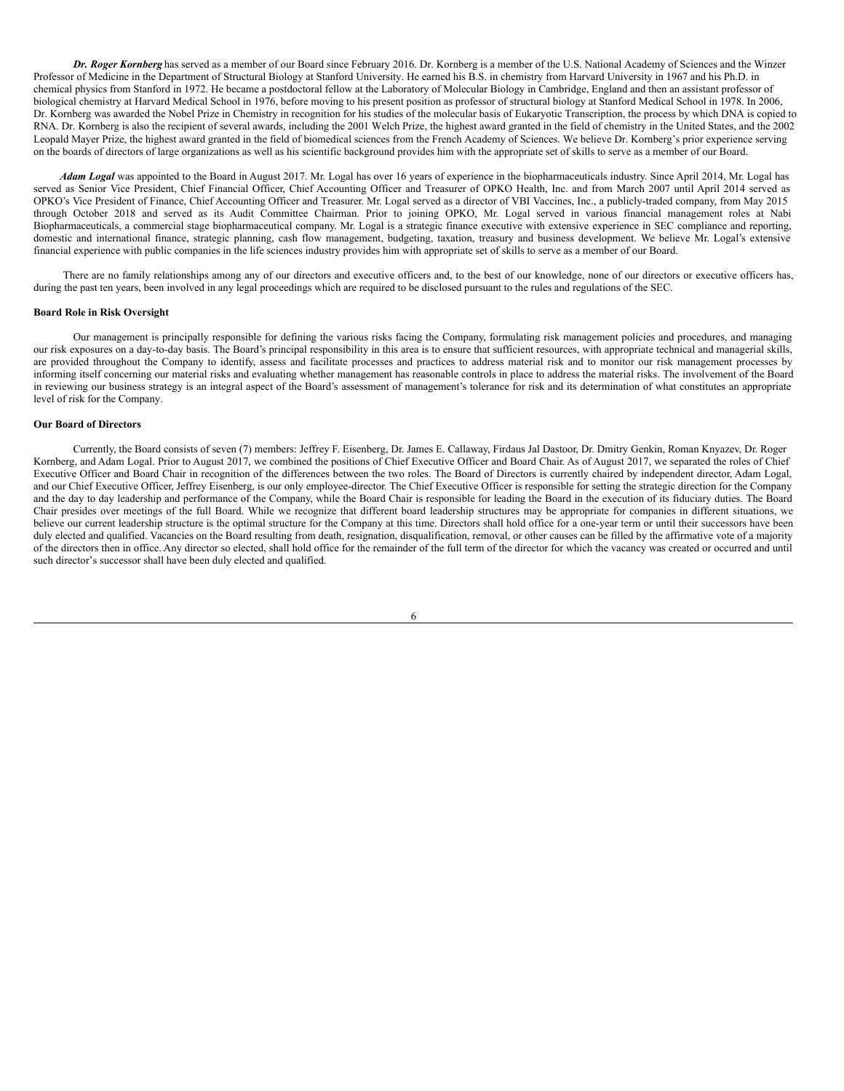*Dr. Roger Kornberg* has served as a member of our Board since February 2016. Dr. Kornberg is a member of the U.S. National Academy of Sciences and the Winzer Professor of Medicine in the Department of Structural Biology at Stanford University. He earned his B.S. in chemistry from Harvard University in 1967 and his Ph.D. in chemical physics from Stanford in 1972. He became a postdoctoral fellow at the Laboratory of Molecular Biology in Cambridge, England and then an assistant professor of biological chemistry at Harvard Medical School in 1976, before moving to his present position as professor of structural biology at Stanford Medical School in 1978. In 2006, Dr. Kornberg was awarded the Nobel Prize in Chemistry in recognition for his studies of the molecular basis of Eukaryotic Transcription, the process by which DNA is copied to RNA. Dr. Kornberg is also the recipient of several awards, including the 2001 Welch Prize, the highest award granted in the field of chemistry in the United States, and the 2002 Leopald Mayer Prize, the highest award granted in the field of biomedical sciences from the French Academy of Sciences. We believe Dr. Kornberg's prior experience serving on the boards of directors of large organizations as well as his scientific background provides him with the appropriate set of skills to serve as a member of our Board.

*Adam Logal* was appointed to the Board in August 2017. Mr. Logal has over 16 years of experience in the biopharmaceuticals industry. Since April 2014, Mr. Logal has served as Senior Vice President, Chief Financial Officer, Chief Accounting Officer and Treasurer of OPKO Health, Inc. and from March 2007 until April 2014 served as OPKO's Vice President of Finance, Chief Accounting Officer and Treasurer. Mr. Logal served as a director of VBI Vaccines, Inc., a publicly-traded company, from May 2015 through October 2018 and served as its Audit Committee Chairman. Prior to joining OPKO, Mr. Logal served in various financial management roles at Nabi Biopharmaceuticals, a commercial stage biopharmaceutical company. Mr. Logal is a strategic finance executive with extensive experience in SEC compliance and reporting, domestic and international finance, strategic planning, cash flow management, budgeting, taxation, treasury and business development. We believe Mr. Logal's extensive financial experience with public companies in the life sciences industry provides him with appropriate set of skills to serve as a member of our Board.

There are no family relationships among any of our directors and executive officers and, to the best of our knowledge, none of our directors or executive officers has, during the past ten years, been involved in any legal proceedings which are required to be disclosed pursuant to the rules and regulations of the SEC.

### **Board Role in Risk Oversight**

Our management is principally responsible for defining the various risks facing the Company, formulating risk management policies and procedures, and managing our risk exposures on a day-to-day basis. The Board's principal responsibility in this area is to ensure that sufficient resources, with appropriate technical and managerial skills, are provided throughout the Company to identify, assess and facilitate processes and practices to address material risk and to monitor our risk management processes by informing itself concerning our material risks and evaluating whether management has reasonable controls in place to address the material risks. The involvement of the Board in reviewing our business strategy is an integral aspect of the Board's assessment of management's tolerance for risk and its determination of what constitutes an appropriate level of risk for the Company.

### **Our Board of Directors**

Currently, the Board consists of seven (7) members: Jeffrey F. Eisenberg, Dr. James E. Callaway, Firdaus Jal Dastoor, Dr. Dmitry Genkin, Roman Knyazev, Dr. Roger Kornberg, and Adam Logal. Prior to August 2017, we combined the positions of Chief Executive Officer and Board Chair. As of August 2017, we separated the roles of Chief Executive Officer and Board Chair in recognition of the differences between the two roles. The Board of Directors is currently chaired by independent director, Adam Logal, and our Chief Executive Officer, Jeffrey Eisenberg, is our only employee-director. The Chief Executive Officer is responsible for setting the strategic direction for the Company and the day to day leadership and performance of the Company, while the Board Chair is responsible for leading the Board in the execution of its fiduciary duties. The Board Chair presides over meetings of the full Board. While we recognize that different board leadership structures may be appropriate for companies in different situations, we believe our current leadership structure is the optimal structure for the Company at this time. Directors shall hold office for a one-year term or until their successors have been duly elected and qualified. Vacancies on the Board resulting from death, resignation, disqualification, removal, or other causes can be filled by the affirmative vote of a majority of the directors then in office. Any director so elected, shall hold office for the remainder of the full term of the director for which the vacancy was created or occurred and until such director's successor shall have been duly elected and qualified.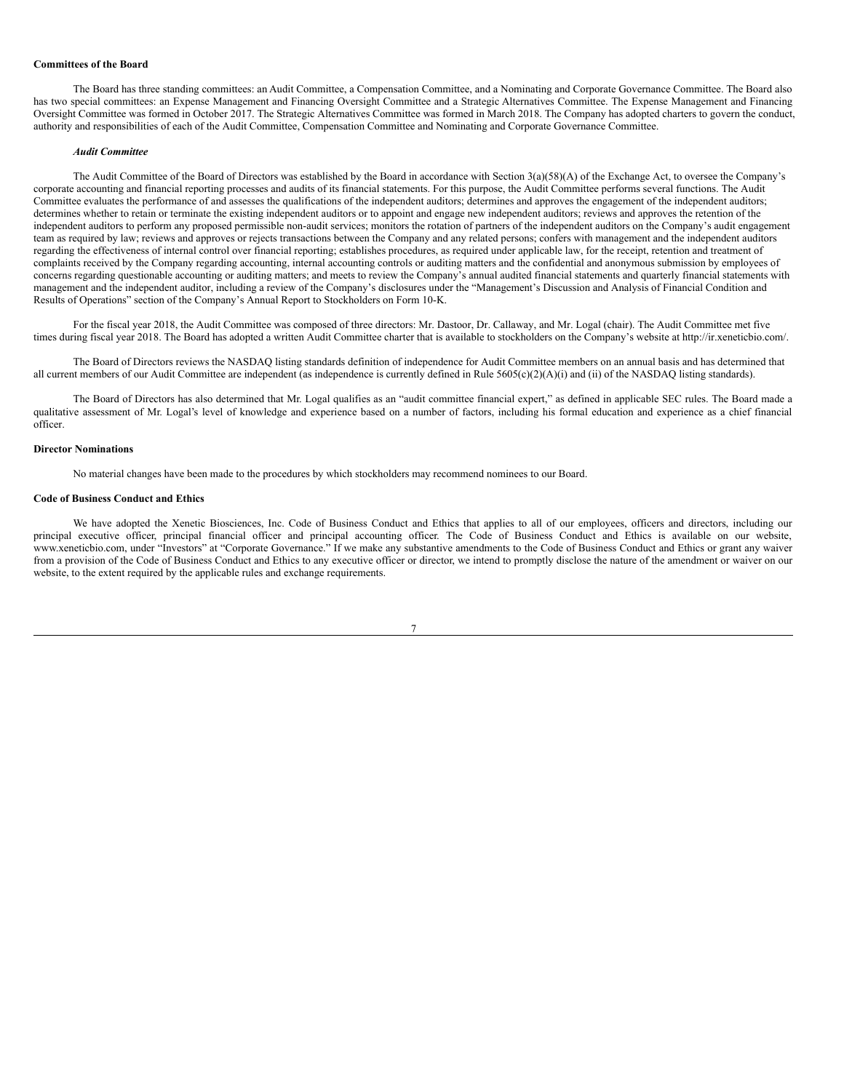#### **Committees of the Board**

The Board has three standing committees: an Audit Committee, a Compensation Committee, and a Nominating and Corporate Governance Committee. The Board also has two special committees: an Expense Management and Financing Oversight Committee and a Strategic Alternatives Committee. The Expense Management and Financing Oversight Committee was formed in October 2017. The Strategic Alternatives Committee was formed in March 2018. The Company has adopted charters to govern the conduct, authority and responsibilities of each of the Audit Committee, Compensation Committee and Nominating and Corporate Governance Committee.

#### *Audit Committee*

The Audit Committee of the Board of Directors was established by the Board in accordance with Section 3(a)(58)(A) of the Exchange Act, to oversee the Company's corporate accounting and financial reporting processes and audits of its financial statements. For this purpose, the Audit Committee performs several functions. The Audit Committee evaluates the performance of and assesses the qualifications of the independent auditors; determines and approves the engagement of the independent auditors; determines whether to retain or terminate the existing independent auditors or to appoint and engage new independent auditors; reviews and approves the retention of the independent auditors to perform any proposed permissible non-audit services; monitors the rotation of partners of the independent auditors on the Company's audit engagement team as required by law; reviews and approves or rejects transactions between the Company and any related persons; confers with management and the independent auditors regarding the effectiveness of internal control over financial reporting; establishes procedures, as required under applicable law, for the receipt, retention and treatment of complaints received by the Company regarding accounting, internal accounting controls or auditing matters and the confidential and anonymous submission by employees of concerns regarding questionable accounting or auditing matters; and meets to review the Company's annual audited financial statements and quarterly financial statements with management and the independent auditor, including a review of the Company's disclosures under the "Management's Discussion and Analysis of Financial Condition and Results of Operations" section of the Company's Annual Report to Stockholders on Form 10-K.

For the fiscal year 2018, the Audit Committee was composed of three directors: Mr. Dastoor, Dr. Callaway, and Mr. Logal (chair). The Audit Committee met five times during fiscal year 2018. The Board has adopted a written Audit Committee charter that is available to stockholders on the Company's website at http://ir.xeneticbio.com/.

The Board of Directors reviews the NASDAQ listing standards definition of independence for Audit Committee members on an annual basis and has determined that all current members of our Audit Committee are independent (as independence is currently defined in Rule  $5605(c)(2)(A)(i)$  and (ii) of the NASDAQ listing standards).

The Board of Directors has also determined that Mr. Logal qualifies as an "audit committee financial expert," as defined in applicable SEC rules. The Board made a qualitative assessment of Mr. Logal's level of knowledge and experience based on a number of factors, including his formal education and experience as a chief financial officer.

### **Director Nominations**

No material changes have been made to the procedures by which stockholders may recommend nominees to our Board.

#### **Code of Business Conduct and Ethics**

We have adopted the Xenetic Biosciences, Inc. Code of Business Conduct and Ethics that applies to all of our employees, officers and directors, including our principal executive officer, principal financial officer and principal accounting officer. The Code of Business Conduct and Ethics is available on our website, www.xeneticbio.com, under "Investors" at "Corporate Governance." If we make any substantive amendments to the Code of Business Conduct and Ethics or grant any waiver from a provision of the Code of Business Conduct and Ethics to any executive officer or director, we intend to promptly disclose the nature of the amendment or waiver on our website, to the extent required by the applicable rules and exchange requirements.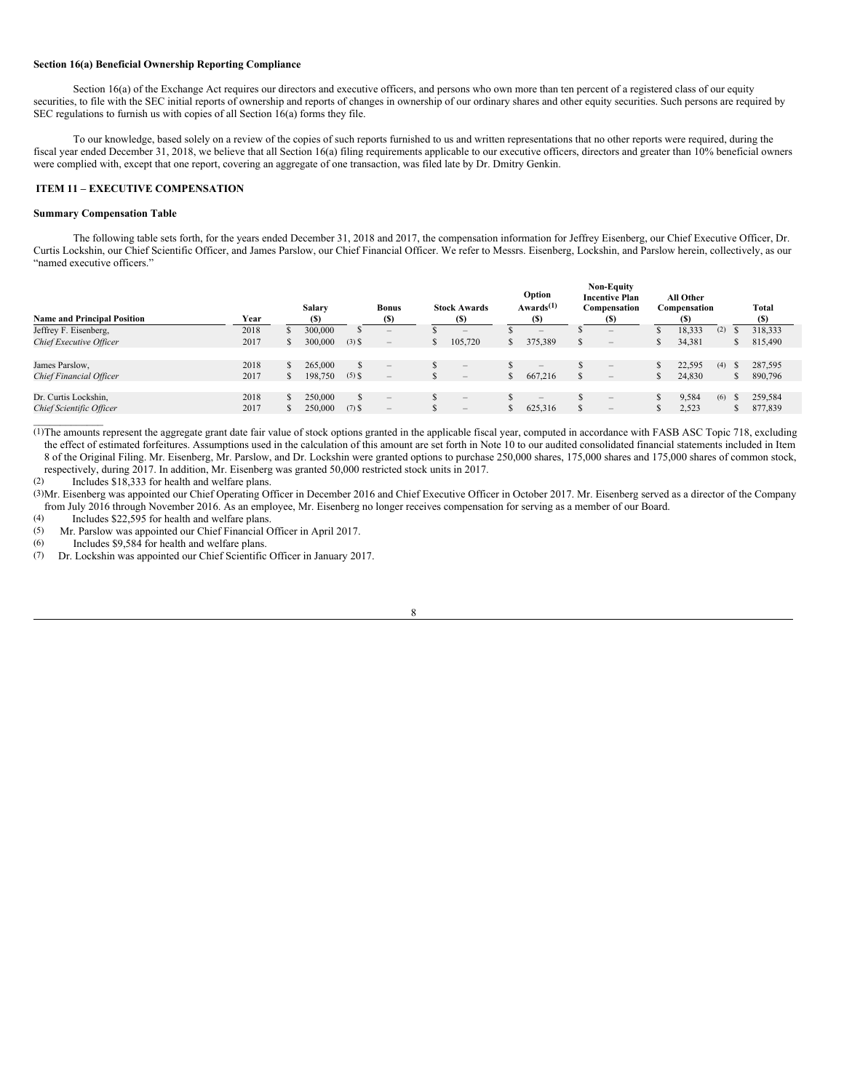#### **Section 16(a) Beneficial Ownership Reporting Compliance**

Section 16(a) of the Exchange Act requires our directors and executive officers, and persons who own more than ten percent of a registered class of our equity securities, to file with the SEC initial reports of ownership and reports of changes in ownership of our ordinary shares and other equity securities. Such persons are required by SEC regulations to furnish us with copies of all Section 16(a) forms they file.

To our knowledge, based solely on a review of the copies of such reports furnished to us and written representations that no other reports were required, during the fiscal year ended December 31, 2018, we believe that all Section 16(a) filing requirements applicable to our executive officers, directors and greater than 10% beneficial owners were complied with, except that one report, covering an aggregate of one transaction, was filed late by Dr. Dmitry Genkin.

#### <span id="page-7-0"></span>**ITEM 11 – EXECUTIVE COMPENSATION**

#### **Summary Compensation Table**

The following table sets forth, for the years ended December 31, 2018 and 2017, the compensation information for Jeffrey Eisenberg, our Chief Executive Officer, Dr. Curtis Lockshin, our Chief Scientific Officer, and James Parslow, our Chief Financial Officer. We refer to Messrs. Eisenberg, Lockshin, and Parslow herein, collectively, as our "named executive officers."

| <b>Name and Principal Position</b>               | Year         | <b>Salary</b><br>(S) |          | <b>Bonus</b><br>$\left( \mathbb{S}\right)$             |               | <b>Stock Awards</b><br>(S)                                  | Option<br>Awards <sup>(1)</sup><br>(S) |          | <b>Non-Equity</b><br><b>Incentive Plan</b><br>Compensation<br>(S) | All Other<br>Compensation<br>(S) |     |               | Total<br>(S)       |
|--------------------------------------------------|--------------|----------------------|----------|--------------------------------------------------------|---------------|-------------------------------------------------------------|----------------------------------------|----------|-------------------------------------------------------------------|----------------------------------|-----|---------------|--------------------|
| Jeffrey F. Eisenberg,                            | 2018         | 300,000              |          |                                                        |               | $\hspace{0.1mm}-\hspace{0.1mm}$                             | $\hspace{0.1mm}-\hspace{0.1mm}$        |          | $\qquad \qquad -$                                                 | 18,333                           | (2) |               | 318,333            |
| Chief Executive Officer                          | 2017         | 300,000              | $(3)$ \$ | $\hspace{0.1mm}-\hspace{0.1mm}$                        | $\mathcal{L}$ | 105,720                                                     | 375,389                                | <b>S</b> | $\hspace{0.1mm}-\hspace{0.1mm}$                                   | 34,381                           |     | D             | 815,490            |
| James Parslow,                                   | 2018         | 265,000              |          | $\hspace{0.1mm}-\hspace{0.1mm}$                        |               | $\hspace{0.1mm}-\hspace{0.1mm}$                             | $\hspace{0.1mm}-\hspace{0.1mm}$        |          | $\hspace{0.1mm}-\hspace{0.1mm}$                                   | 22,595                           | (4) | $\mathcal{L}$ | 287,595            |
| Chief Financial Officer                          | 2017         | 198,750              | $(5)$ \$ | $\hspace{1.0cm} - \hspace{1.0cm}$                      |               | $\hspace{0.1mm}-\hspace{0.1mm}$                             | 667,216                                |          | $\qquad \qquad -$                                                 | 24,830                           |     | ъ             | 890,796            |
| Dr. Curtis Lockshin,<br>Chief Scientific Officer | 2018<br>2017 | 250,000<br>250,000   | $(7)$ S  | $\hspace{1.0cm} - \hspace{1.0cm}$<br>$\qquad \qquad -$ |               | $\overline{\phantom{m}}$<br>$\hspace{0.1mm}-\hspace{0.1mm}$ | $\overline{\phantom{m}}$<br>625,316    |          | $\qquad \qquad -$<br>$\hspace{0.1mm}-\hspace{0.1mm}$              | 9,584<br>2,523                   | (6) | - 35          | 259,584<br>877,839 |
|                                                  |              |                      |          |                                                        |               |                                                             |                                        |          |                                                                   |                                  |     |               |                    |

(1)The amounts represent the aggregate grant date fair value of stock options granted in the applicable fiscal year, computed in accordance with FASB ASC Topic 718, excluding the effect of estimated forfeitures. Assumptions used in the calculation of this amount are set forth in Note 10 to our audited consolidated financial statements included in Item 8 of the Original Filing. Mr. Eisenberg, Mr. Parslow, and Dr. Lockshin were granted options to purchase 250,000 shares, 175,000 shares and 175,000 shares of common stock, respectively, during 2017. In addition, Mr. Eisenberg was granted 50,000 restricted stock units in 2017.<br>(2) Includes \$18,333 for health and welfare plans

Includes \$18,333 for health and welfare plans.

(3)Mr. Eisenberg was appointed our Chief Operating Officer in December 2016 and Chief Executive Officer in October 2017. Mr. Eisenberg served as a director of the Company from July 2016 through November 2016. As an employee, Mr. Eisenberg no longer receives compensation for serving as a member of our Board.<br>(4) Includes \$22,595 for health and welfare plans

(4) Includes \$22,595 for health and welfare plans.<br>(5) Mr. Parslow was appointed our Chief Financial C

(5) Mr. Parslow was appointed our Chief Financial Officer in April 2017.<br>  $(6)$  Includes \$9.584 for health and welfare plans

(6) Includes  $$9,584$  for health and welfare plans.<br>(7) Dr. Lockshin was appointed our Chief Scientific

Dr. Lockshin was appointed our Chief Scientific Officer in January 2017.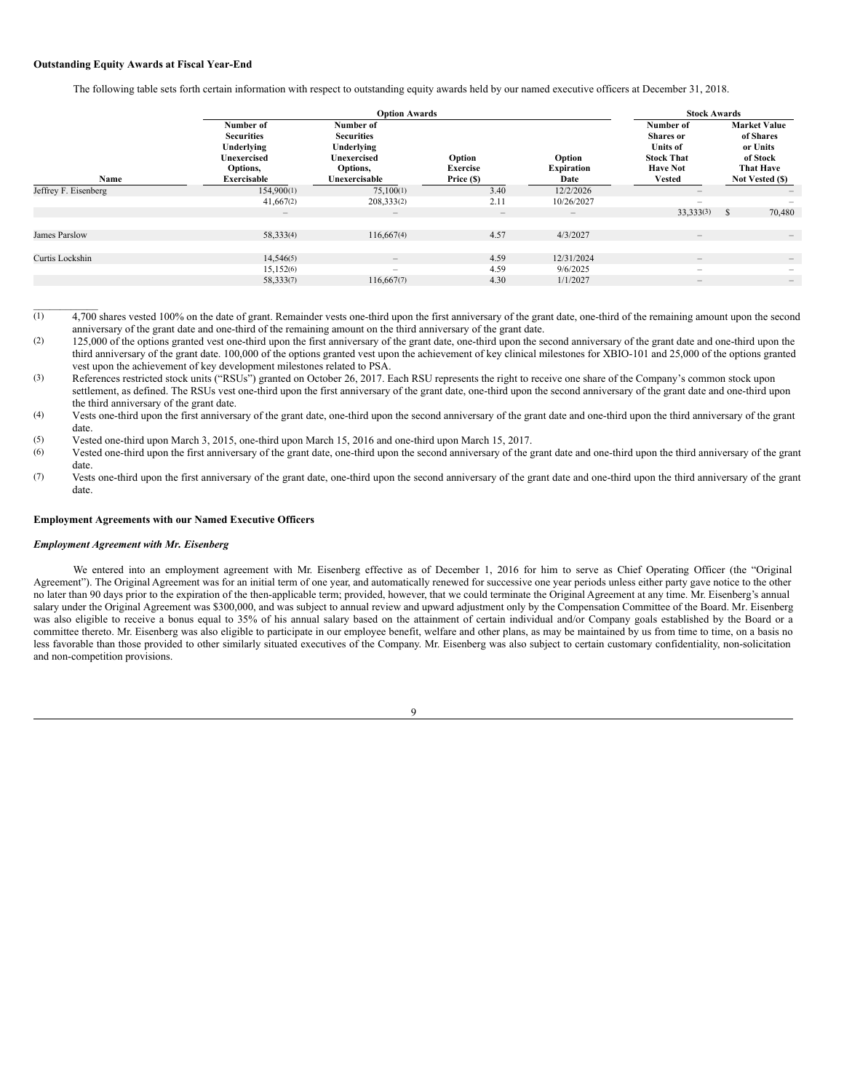#### **Outstanding Equity Awards at Fiscal Year-End**

The following table sets forth certain information with respect to outstanding equity awards held by our named executive officers at December 31, 2018.

|                      |                                                                                               | <b>Option Awards</b>                                                                            |                                         |                                     |                                                                                                           |                                                                                                 |
|----------------------|-----------------------------------------------------------------------------------------------|-------------------------------------------------------------------------------------------------|-----------------------------------------|-------------------------------------|-----------------------------------------------------------------------------------------------------------|-------------------------------------------------------------------------------------------------|
| Name                 | Number of<br><b>Securities</b><br>Underlying<br><b>Unexercised</b><br>Options,<br>Exercisable | Number of<br><b>Securities</b><br>Underlying<br><b>Unexercised</b><br>Options,<br>Unexercisable | Option<br><b>Exercise</b><br>Price (\$) | Option<br><b>Expiration</b><br>Date | Number of<br><b>Shares</b> or<br><b>Units of</b><br><b>Stock That</b><br><b>Have Not</b><br><b>Vested</b> | <b>Market Value</b><br>of Shares<br>or Units<br>of Stock<br><b>That Have</b><br>Not Vested (\$) |
| Jeffrey F. Eisenberg | 154,900(1)                                                                                    | 75,100(1)                                                                                       | 3.40                                    | 12/2/2026                           | $\hspace{0.1mm}-\hspace{0.1mm}$                                                                           | $\qquad \qquad -$                                                                               |
|                      | 41,667(2)                                                                                     | 208,333(2)                                                                                      | 2.11                                    | 10/26/2027                          | $\overline{\phantom{0}}$                                                                                  |                                                                                                 |
|                      | $\!-$                                                                                         | $\overline{\phantom{a}}$                                                                        | $\qquad \qquad -$                       | $\qquad \qquad -$                   | 33,333(3)                                                                                                 | 70,480<br><sup>S</sup>                                                                          |
|                      |                                                                                               |                                                                                                 |                                         |                                     |                                                                                                           |                                                                                                 |
| James Parslow        | 58,333(4)                                                                                     | 116,667(4)                                                                                      | 4.57                                    | 4/3/2027                            | $\qquad \qquad -$                                                                                         |                                                                                                 |
|                      |                                                                                               |                                                                                                 |                                         |                                     |                                                                                                           |                                                                                                 |
| Curtis Lockshin      | 14,546(5)                                                                                     | $\qquad \qquad -$                                                                               | 4.59                                    | 12/31/2024                          | $\qquad \qquad -$                                                                                         | $\qquad \qquad -$                                                                               |
|                      | 15,152(6)                                                                                     | $\overline{\phantom{0}}$                                                                        | 4.59                                    | 9/6/2025                            | $\overline{\phantom{0}}$                                                                                  | -                                                                                               |
|                      | 58,333(7)                                                                                     | 116,667(7)                                                                                      | 4.30                                    | 1/1/2027                            | $\qquad \qquad -$                                                                                         | $\qquad \qquad -$                                                                               |
|                      |                                                                                               |                                                                                                 |                                         |                                     |                                                                                                           |                                                                                                 |

 $\overline{(1)}$  4,700 shares vested 100% on the date of grant. Remainder vests one-third upon the first anniversary of the grant date, one-third of the remaining amount upon the second anniversary of the grant date and one-third of the remaining amount on the third anniversary of the grant date.

(2) 125,000 of the options granted vest one-third upon the first anniversary of the grant date, one-third upon the second anniversary of the grant date and one-third upon the third anniversary of the grant date. 100,000 of the options granted vest upon the achievement of key clinical milestones for XBIO-101 and 25,000 of the options granted vest upon the achievement of key development milestones related to PSA.

(3) References restricted stock units ("RSUs") granted on October 26, 2017. Each RSU represents the right to receive one share of the Company's common stock upon settlement, as defined. The RSUs vest one-third upon the first anniversary of the grant date, one-third upon the second anniversary of the grant date and one-third upon the third anniversary of the grant date.

(4) Vests one-third upon the first anniversary of the grant date, one-third upon the second anniversary of the grant date and one-third upon the third anniversary of the grant date.

(5) Vested one-third upon March 3, 2015, one-third upon March 15, 2016 and one-third upon March 15, 2017.

Vested one-third upon the first anniversary of the grant date, one-third upon the second anniversary of the grant date and one-third upon the third anniversary of the grant date.

(7) Vests one-third upon the first anniversary of the grant date, one-third upon the second anniversary of the grant date and one-third upon the third anniversary of the grant date.

### **Employment Agreements with our Named Executive Officers**

### *Employment Agreement with Mr. Eisenberg*

 $\mathcal{L}=\mathcal{L}^{\mathcal{L}}$ 

We entered into an employment agreement with Mr. Eisenberg effective as of December 1, 2016 for him to serve as Chief Operating Officer (the "Original Agreement"). The Original Agreement was for an initial term of one year, and automatically renewed for successive one year periods unless either party gave notice to the other no later than 90 days prior to the expiration of the then-applicable term; provided, however, that we could terminate the Original Agreement at any time. Mr. Eisenberg's annual salary under the Original Agreement was \$300,000, and was subject to annual review and upward adjustment only by the Compensation Committee of the Board. Mr. Eisenberg was also eligible to receive a bonus equal to 35% of his annual salary based on the attainment of certain individual and/or Company goals established by the Board or a committee thereto. Mr. Eisenberg was also eligible to participate in our employee benefit, welfare and other plans, as may be maintained by us from time to time, on a basis no less favorable than those provided to other similarly situated executives of the Company. Mr. Eisenberg was also subject to certain customary confidentiality, non-solicitation and non-competition provisions.

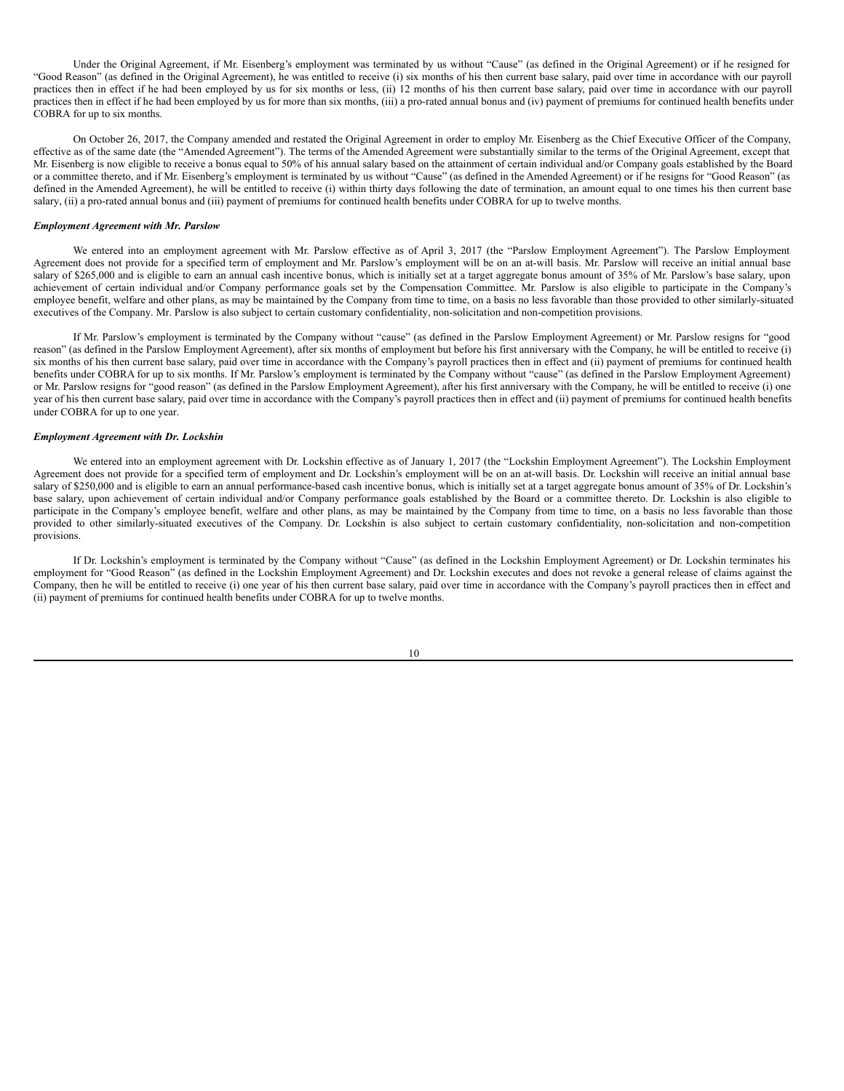Under the Original Agreement, if Mr. Eisenberg's employment was terminated by us without "Cause" (as defined in the Original Agreement) or if he resigned for "Good Reason" (as defined in the Original Agreement), he was entitled to receive (i) six months of his then current base salary, paid over time in accordance with our payroll practices then in effect if he had been employed by us for six months or less, (ii) 12 months of his then current base salary, paid over time in accordance with our payroll practices then in effect if he had been employed by us for more than six months, (iii) a pro-rated annual bonus and (iv) payment of premiums for continued health benefits under COBRA for up to six months.

On October 26, 2017, the Company amended and restated the Original Agreement in order to employ Mr. Eisenberg as the Chief Executive Officer of the Company, effective as of the same date (the "Amended Agreement"). The terms of the Amended Agreement were substantially similar to the terms of the Original Agreement, except that Mr. Eisenberg is now eligible to receive a bonus equal to 50% of his annual salary based on the attainment of certain individual and/or Company goals established by the Board or a committee thereto, and if Mr. Eisenberg's employment is terminated by us without "Cause" (as defined in the Amended Agreement) or if he resigns for "Good Reason" (as defined in the Amended Agreement), he will be entitled to receive (i) within thirty days following the date of termination, an amount equal to one times his then current base salary, (ii) a pro-rated annual bonus and (iii) payment of premiums for continued health benefits under COBRA for up to twelve months.

#### *Employment Agreement with Mr. Parslow*

We entered into an employment agreement with Mr. Parslow effective as of April 3, 2017 (the "Parslow Employment Agreement"). The Parslow Employment Agreement does not provide for a specified term of employment and Mr. Parslow's employment will be on an at-will basis. Mr. Parslow will receive an initial annual base salary of \$265,000 and is eligible to earn an annual cash incentive bonus, which is initially set at a target aggregate bonus amount of 35% of Mr. Parslow's base salary, upon achievement of certain individual and/or Company performance goals set by the Compensation Committee. Mr. Parslow is also eligible to participate in the Company's employee benefit, welfare and other plans, as may be maintained by the Company from time to time, on a basis no less favorable than those provided to other similarly-situated executives of the Company. Mr. Parslow is also subject to certain customary confidentiality, non-solicitation and non-competition provisions.

If Mr. Parslow's employment is terminated by the Company without "cause" (as defined in the Parslow Employment Agreement) or Mr. Parslow resigns for "good reason" (as defined in the Parslow Employment Agreement), after six months of employment but before his first anniversary with the Company, he will be entitled to receive (i) six months of his then current base salary, paid over time in accordance with the Company's payroll practices then in effect and (ii) payment of premiums for continued health benefits under COBRA for up to six months. If Mr. Parslow's employment is terminated by the Company without "cause" (as defined in the Parslow Employment Agreement) or Mr. Parslow resigns for "good reason" (as defined in the Parslow Employment Agreement), after his first anniversary with the Company, he will be entitled to receive (i) one year of his then current base salary, paid over time in accordance with the Company's payroll practices then in effect and (ii) payment of premiums for continued health benefits under COBRA for up to one year.

### *Employment Agreement with Dr. Lockshin*

We entered into an employment agreement with Dr. Lockshin effective as of January 1, 2017 (the "Lockshin Employment Agreement"). The Lockshin Employment Agreement does not provide for a specified term of employment and Dr. Lockshin's employment will be on an at-will basis. Dr. Lockshin will receive an initial annual base salary of \$250,000 and is eligible to earn an annual performance-based cash incentive bonus, which is initially set at a target aggregate bonus amount of 35% of Dr. Lockshin's base salary, upon achievement of certain individual and/or Company performance goals established by the Board or a committee thereto. Dr. Lockshin is also eligible to participate in the Company's employee benefit, welfare and other plans, as may be maintained by the Company from time to time, on a basis no less favorable than those provided to other similarly-situated executives of the Company. Dr. Lockshin is also subject to certain customary confidentiality, non-solicitation and non-competition provisions.

If Dr. Lockshin's employment is terminated by the Company without "Cause" (as defined in the Lockshin Employment Agreement) or Dr. Lockshin terminates his employment for "Good Reason" (as defined in the Lockshin Employment Agreement) and Dr. Lockshin executes and does not revoke a general release of claims against the Company, then he will be entitled to receive (i) one year of his then current base salary, paid over time in accordance with the Company's payroll practices then in effect and (ii) payment of premiums for continued health benefits under COBRA for up to twelve months.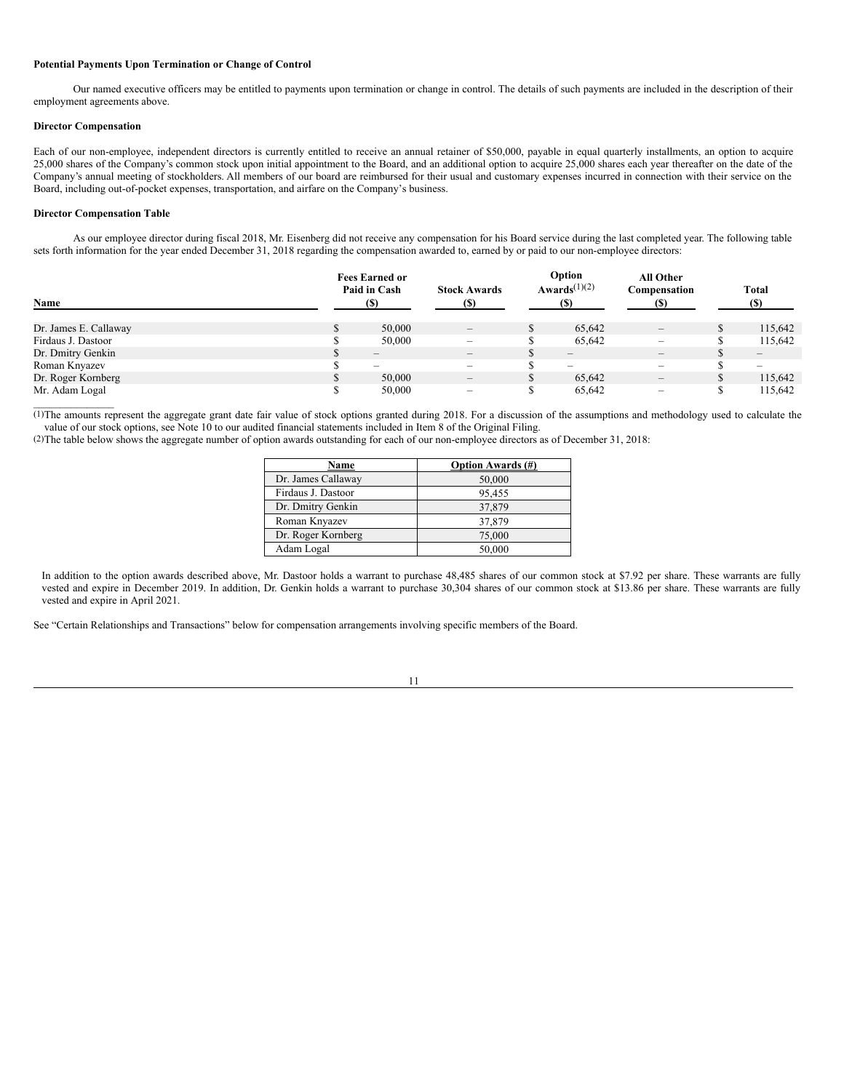#### **Potential Payments Upon Termination or Change of Control**

Our named executive officers may be entitled to payments upon termination or change in control. The details of such payments are included in the description of their employment agreements above.

#### **Director Compensation**

Each of our non-employee, independent directors is currently entitled to receive an annual retainer of \$50,000, payable in equal quarterly installments, an option to acquire 25,000 shares of the Company's common stock upon initial appointment to the Board, and an additional option to acquire 25,000 shares each year thereafter on the date of the Company's annual meeting of stockholders. All members of our board are reimbursed for their usual and customary expenses incurred in connection with their service on the Board, including out-of-pocket expenses, transportation, and airfare on the Company's business.

### **Director Compensation Table**

 $\mathcal{L}_\text{max}$  and  $\mathcal{L}_\text{max}$ 

As our employee director during fiscal 2018, Mr. Eisenberg did not receive any compensation for his Board service during the last completed year. The following table sets forth information for the year ended December 31, 2018 regarding the compensation awarded to, earned by or paid to our non-employee directors:

|                       | <b>Fees Earned or</b><br>Paid in Cash | <b>Stock Awards</b>             | Option<br>Awards <sup><math>(1)(2)</math></sup> | All Other<br>Compensation       | <b>Total</b>                 |
|-----------------------|---------------------------------------|---------------------------------|-------------------------------------------------|---------------------------------|------------------------------|
| Name                  | (S)                                   | (S)                             | (S)                                             |                                 | (S)                          |
| Dr. James E. Callaway | 50,000                                | $\hspace{0.1mm}-\hspace{0.1mm}$ | 65.642                                          | $\hspace{0.1mm}-\hspace{0.1mm}$ | 115,642                      |
| Firdaus J. Dastoor    | 50,000                                | $\overline{\phantom{a}}$        | 65.642                                          | $\overline{\phantom{0}}$        | 115,642                      |
| Dr. Dmitry Genkin     | $\hspace{0.1mm}-\hspace{0.1mm}$       | $\hspace{0.1mm}-\hspace{0.1mm}$ | $\qquad \qquad -$                               | $\qquad \qquad -$               | $\qquad \qquad \blacksquare$ |
| Roman Knyazev         | $\overline{\phantom{a}}$              | $\overline{\phantom{a}}$        | $\overline{\phantom{m}}$                        | $\overline{\phantom{a}}$        | $\overline{\phantom{a}}$     |
| Dr. Roger Kornberg    | 50,000                                | $\hspace{0.1mm}-\hspace{0.1mm}$ | 65.642                                          | $\qquad \qquad -$               | 115,642                      |
| Mr. Adam Logal        | 50,000                                | $\overline{\phantom{a}}$        | 65.642                                          |                                 | 115.642                      |

(1)The amounts represent the aggregate grant date fair value of stock options granted during 2018. For a discussion of the assumptions and methodology used to calculate the value of our stock options, see Note 10 to our audited financial statements included in Item 8 of the Original Filing.

(2)The table below shows the aggregate number of option awards outstanding for each of our non-employee directors as of December 31, 2018:

| Name               | <b>Option Awards</b> (#) |
|--------------------|--------------------------|
| Dr. James Callaway | 50,000                   |
| Firdaus J. Dastoor | 95,455                   |
| Dr. Dmitry Genkin  | 37,879                   |
| Roman Knyazev      | 37,879                   |
| Dr. Roger Kornberg | 75,000                   |
| Adam Logal         | 50,000                   |

In addition to the option awards described above, Mr. Dastoor holds a warrant to purchase 48,485 shares of our common stock at \$7.92 per share. These warrants are fully vested and expire in December 2019. In addition, Dr. Genkin holds a warrant to purchase 30,304 shares of our common stock at \$13.86 per share. These warrants are fully vested and expire in April 2021.

See "Certain Relationships and Transactions" below for compensation arrangements involving specific members of the Board.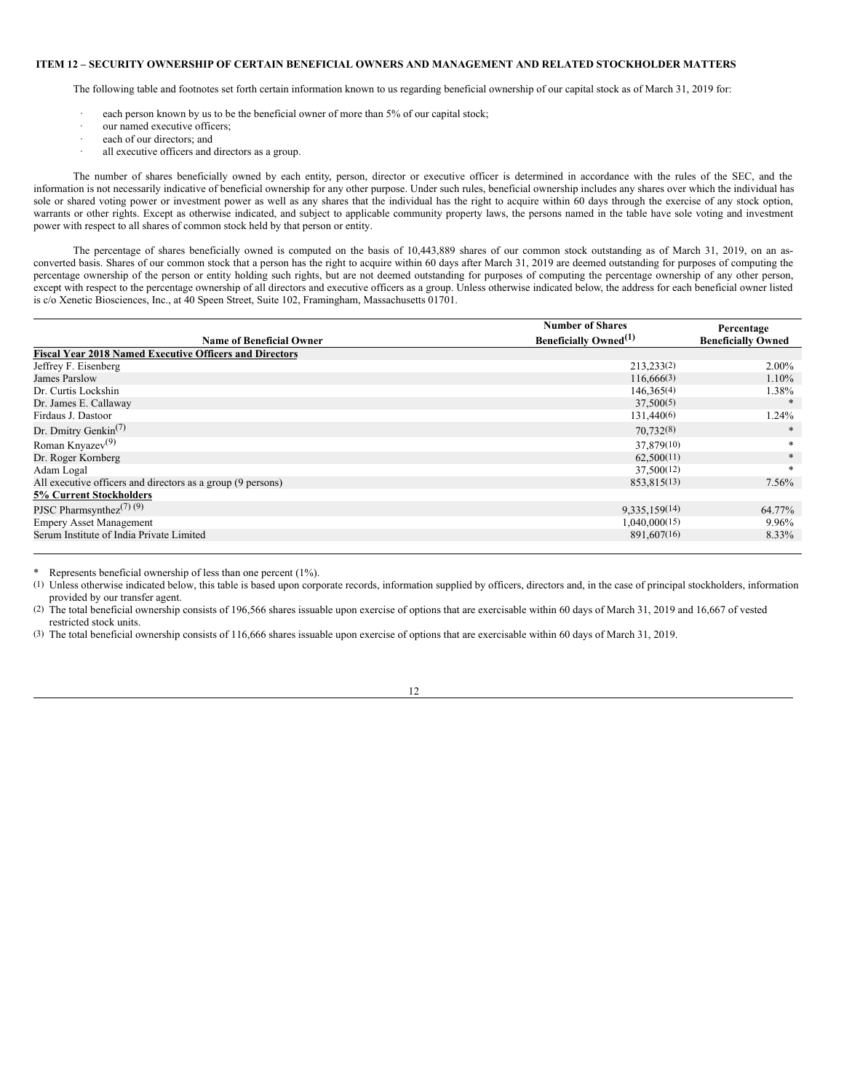#### <span id="page-11-0"></span>**ITEM 12 – SECURITY OWNERSHIP OF CERTAIN BENEFICIAL OWNERS AND MANAGEMENT AND RELATED STOCKHOLDER MATTERS**

The following table and footnotes set forth certain information known to us regarding beneficial ownership of our capital stock as of March 31, 2019 for:

- each person known by us to be the beneficial owner of more than 5% of our capital stock;
- · our named executive officers;
- each of our directors; and
- all executive officers and directors as a group.

The number of shares beneficially owned by each entity, person, director or executive officer is determined in accordance with the rules of the SEC, and the information is not necessarily indicative of beneficial ownership for any other purpose. Under such rules, beneficial ownership includes any shares over which the individual has sole or shared voting power or investment power as well as any shares that the individual has the right to acquire within 60 days through the exercise of any stock option, warrants or other rights. Except as otherwise indicated, and subject to applicable community property laws, the persons named in the table have sole voting and investment power with respect to all shares of common stock held by that person or entity.

The percentage of shares beneficially owned is computed on the basis of 10,443,889 shares of our common stock outstanding as of March 31, 2019, on an asconverted basis. Shares of our common stock that a person has the right to acquire within 60 days after March 31, 2019 are deemed outstanding for purposes of computing the percentage ownership of the person or entity holding such rights, but are not deemed outstanding for purposes of computing the percentage ownership of any other person, except with respect to the percentage ownership of all directors and executive officers as a group. Unless otherwise indicated below, the address for each beneficial owner listed is c/o Xenetic Biosciences, Inc., at 40 Speen Street, Suite 102, Framingham, Massachusetts 01701.

|                                                                | <b>Number of Shares</b>                  | Percentage                |
|----------------------------------------------------------------|------------------------------------------|---------------------------|
| <b>Name of Beneficial Owner</b>                                | <b>Beneficially Owned</b> <sup>(1)</sup> | <b>Beneficially Owned</b> |
| <b>Fiscal Year 2018 Named Executive Officers and Directors</b> |                                          |                           |
| Jeffrey F. Eisenberg                                           | 213,233(2)                               | $2.00\%$                  |
| James Parslow                                                  | 116,666(3)                               | $1.10\%$                  |
| Dr. Curtis Lockshin                                            | 146,365(4)                               | 1.38%                     |
| Dr. James E. Callaway                                          | 37,500(5)                                |                           |
| Firdaus J. Dastoor                                             | 131,440(6)                               | 1.24%                     |
| Dr. Dmitry Genkin <sup>(7)</sup>                               | 70,732(8)                                | $\ast$                    |
| Roman Knyazev $(9)$                                            | 37,879(10)                               | *                         |
| Dr. Roger Kornberg                                             | 62,500(11)                               | $\ast$                    |
| Adam Logal                                                     | 37,500(12)                               | *                         |
| All executive officers and directors as a group (9 persons)    | 853,815(13)                              | 7.56%                     |
| <b>5% Current Stockholders</b>                                 |                                          |                           |
| PJSC Pharmsynthez <sup><math>(7)</math></sup> $(9)$            | 9,335,159(14)                            | 64.77%                    |
| <b>Empery Asset Management</b>                                 | 1,040,000(15)                            | 9.96%                     |
| Serum Institute of India Private Limited                       | 891,607(16)                              | 8.33%                     |
|                                                                |                                          |                           |

\* Represents beneficial ownership of less than one percent (1%).

(1) Unless otherwise indicated below, this table is based upon corporate records, information supplied by officers, directors and, in the case of principal stockholders, information provided by our transfer agent.

(2) The total beneficial ownership consists of 196,566 shares issuable upon exercise of options that are exercisable within 60 days of March 31, 2019 and 16,667 of vested restricted stock units.

(3) The total beneficial ownership consists of 116,666 shares issuable upon exercise of options that are exercisable within 60 days of March 31, 2019.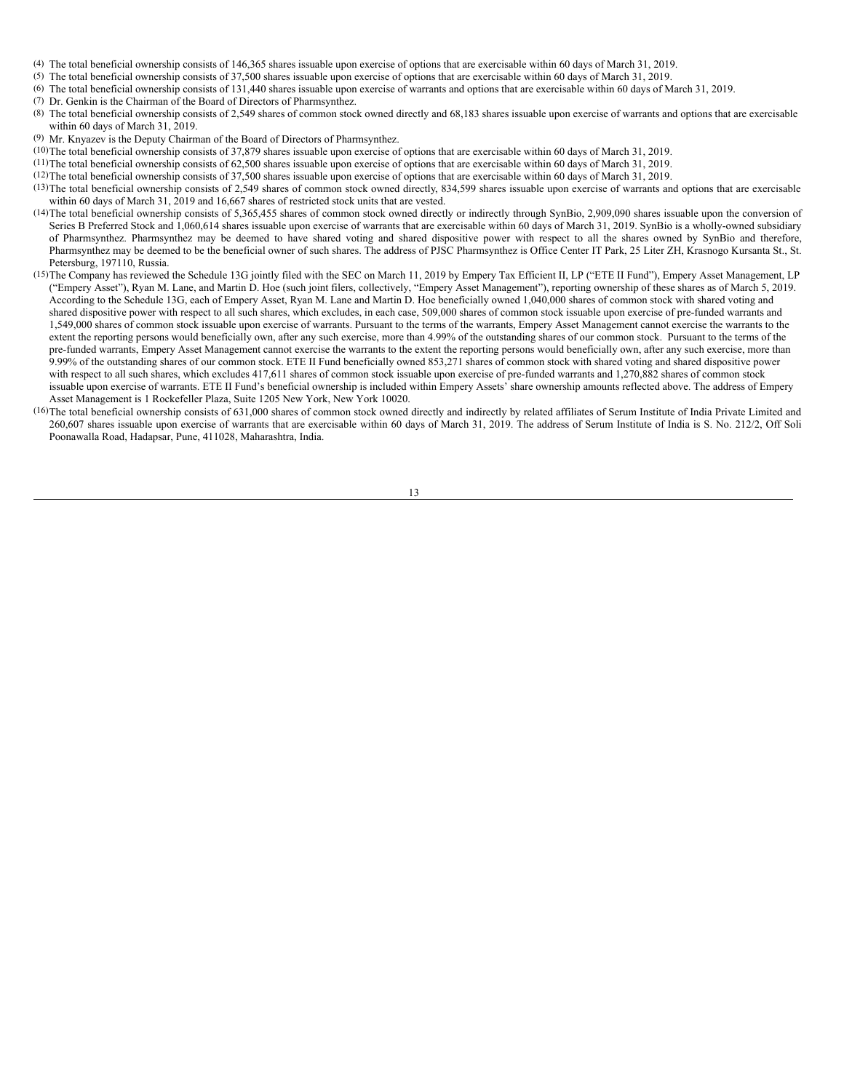- (4) The total beneficial ownership consists of 146,365 shares issuable upon exercise of options that are exercisable within 60 days of March 31, 2019.
- (5) The total beneficial ownership consists of 37,500 shares issuable upon exercise of options that are exercisable within 60 days of March 31, 2019.
- (6) The total beneficial ownership consists of 131,440 shares issuable upon exercise of warrants and options that are exercisable within 60 days of March 31, 2019.
- (7) Dr. Genkin is the Chairman of the Board of Directors of Pharmsynthez.
- (8) The total beneficial ownership consists of 2,549 shares of common stock owned directly and 68,183 shares issuable upon exercise of warrants and options that are exercisable within 60 days of March 31, 2019.
- (9) Mr. Knyazev is the Deputy Chairman of the Board of Directors of Pharmsynthez.
- (10)The total beneficial ownership consists of 37,879 shares issuable upon exercise of options that are exercisable within 60 days of March 31, 2019.
- (11)The total beneficial ownership consists of 62,500 shares issuable upon exercise of options that are exercisable within 60 days of March 31, 2019.
- (12)The total beneficial ownership consists of 37,500 shares issuable upon exercise of options that are exercisable within 60 days of March 31, 2019.
- (13)The total beneficial ownership consists of 2,549 shares of common stock owned directly, 834,599 shares issuable upon exercise of warrants and options that are exercisable within 60 days of March 31, 2019 and 16,667 shares of restricted stock units that are vested.
- (14)The total beneficial ownership consists of 5,365,455 shares of common stock owned directly or indirectly through SynBio, 2,909,090 shares issuable upon the conversion of Series B Preferred Stock and 1,060,614 shares issuable upon exercise of warrants that are exercisable within 60 days of March 31, 2019. SynBio is a wholly-owned subsidiary of Pharmsynthez. Pharmsynthez may be deemed to have shared voting and shared dispositive power with respect to all the shares owned by SynBio and therefore, Pharmsynthez may be deemed to be the beneficial owner of such shares. The address of PJSC Pharmsynthez is Office Center IT Park, 25 Liter ZH, Krasnogo Kursanta St., St. Petersburg, 197110, Russia.
- (15)The Company has reviewed the Schedule 13G jointly filed with the SEC on March 11, 2019 by Empery Tax Efficient II, LP ("ETE II Fund"), Empery Asset Management, LP ("Empery Asset"), Ryan M. Lane, and Martin D. Hoe (such joint filers, collectively, "Empery Asset Management"), reporting ownership of these shares as of March 5, 2019. According to the Schedule 13G, each of Empery Asset, Ryan M. Lane and Martin D. Hoe beneficially owned 1,040,000 shares of common stock with shared voting and shared dispositive power with respect to all such shares, which excludes, in each case, 509,000 shares of common stock issuable upon exercise of pre-funded warrants and 1,549,000 shares of common stock issuable upon exercise of warrants. Pursuant to the terms of the warrants, Empery Asset Management cannot exercise the warrants to the extent the reporting persons would beneficially own, after any such exercise, more than 4.99% of the outstanding shares of our common stock. Pursuant to the terms of the pre-funded warrants, Empery Asset Management cannot exercise the warrants to the extent the reporting persons would beneficially own, after any such exercise, more than 9.99% of the outstanding shares of our common stock. ETE II Fund beneficially owned 853,271 shares of common stock with shared voting and shared dispositive power with respect to all such shares, which excludes 417,611 shares of common stock issuable upon exercise of pre-funded warrants and 1,270,882 shares of common stock issuable upon exercise of warrants. ETE II Fund's beneficial ownership is included within Empery Assets' share ownership amounts reflected above. The address of Empery Asset Management is 1 Rockefeller Plaza, Suite 1205 New York, New York 10020.
- (16)The total beneficial ownership consists of 631,000 shares of common stock owned directly and indirectly by related affiliates of Serum Institute of India Private Limited and 260,607 shares issuable upon exercise of warrants that are exercisable within 60 days of March 31, 2019. The address of Serum Institute of India is S. No. 212/2, Off Soli Poonawalla Road, Hadapsar, Pune, 411028, Maharashtra, India.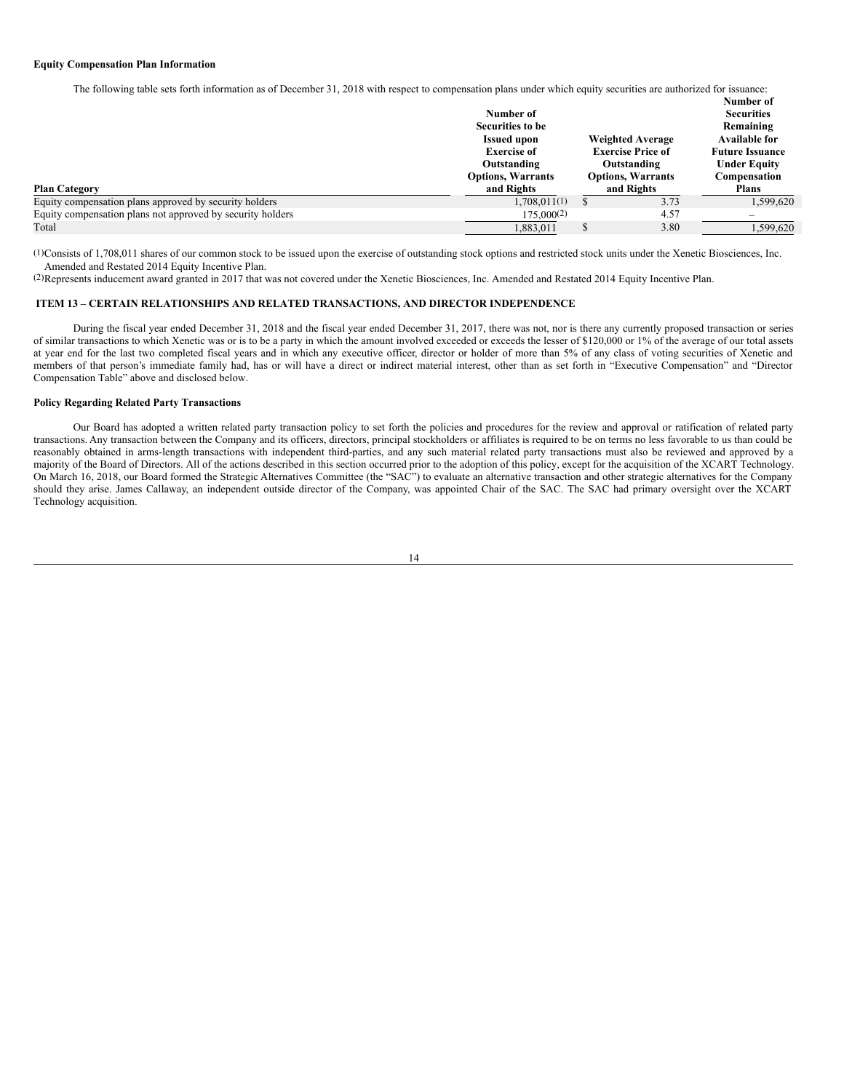#### **Equity Compensation Plan Information**

The following table sets forth information as of December 31, 2018 with respect to compensation plans under which equity securities are authorized for issuance:

|                                                            |                          |                         |                          | Number of                |
|------------------------------------------------------------|--------------------------|-------------------------|--------------------------|--------------------------|
|                                                            | Number of                |                         |                          | <b>Securities</b>        |
|                                                            | Securities to be         |                         |                          | Remaining                |
|                                                            | <b>Issued upon</b>       | <b>Weighted Average</b> |                          | <b>Available for</b>     |
|                                                            | <b>Exercise of</b>       |                         | <b>Exercise Price of</b> | <b>Future Issuance</b>   |
|                                                            | Outstanding              |                         | Outstanding              | <b>Under Equity</b>      |
|                                                            | <b>Options, Warrants</b> |                         | <b>Options, Warrants</b> | Compensation             |
| <b>Plan Category</b>                                       | and Rights               |                         | and Rights               | <b>Plans</b>             |
| Equity compensation plans approved by security holders     | 1.708.011(1)             |                         | 3.73                     | 1.599.620                |
| Equity compensation plans not approved by security holders | $175,000^{(2)}$          |                         | 4.57                     | $\overline{\phantom{0}}$ |
| Total                                                      | 1.883.011                |                         | 3.80                     | 1.599.620                |

(1)Consists of 1,708,011 shares of our common stock to be issued upon the exercise of outstanding stock options and restricted stock units under the Xenetic Biosciences, Inc. Amended and Restated 2014 Equity Incentive Plan.

(2)Represents inducement award granted in 2017 that was not covered under the Xenetic Biosciences, Inc. Amended and Restated 2014 Equity Incentive Plan.

## <span id="page-13-0"></span>**ITEM 13 – CERTAIN RELATIONSHIPS AND RELATED TRANSACTIONS, AND DIRECTOR INDEPENDENCE**

During the fiscal year ended December 31, 2018 and the fiscal year ended December 31, 2017, there was not, nor is there any currently proposed transaction or series of similar transactions to which Xenetic was or is to be a party in which the amount involved exceeded or exceeds the lesser of \$120,000 or 1% of the average of our total assets at year end for the last two completed fiscal years and in which any executive officer, director or holder of more than 5% of any class of voting securities of Xenetic and members of that person's immediate family had, has or will have a direct or indirect material interest, other than as set forth in "Executive Compensation" and "Director Compensation Table" above and disclosed below.

### **Policy Regarding Related Party Transactions**

Our Board has adopted a written related party transaction policy to set forth the policies and procedures for the review and approval or ratification of related party transactions. Any transaction between the Company and its officers, directors, principal stockholders or affiliates is required to be on terms no less favorable to us than could be reasonably obtained in arms-length transactions with independent third-parties, and any such material related party transactions must also be reviewed and approved by a majority of the Board of Directors. All of the actions described in this section occurred prior to the adoption of this policy, except for the acquisition of the XCART Technology. On March 16, 2018, our Board formed the Strategic Alternatives Committee (the "SAC") to evaluate an alternative transaction and other strategic alternatives for the Company should they arise. James Callaway, an independent outside director of the Company, was appointed Chair of the SAC. The SAC had primary oversight over the XCART Technology acquisition.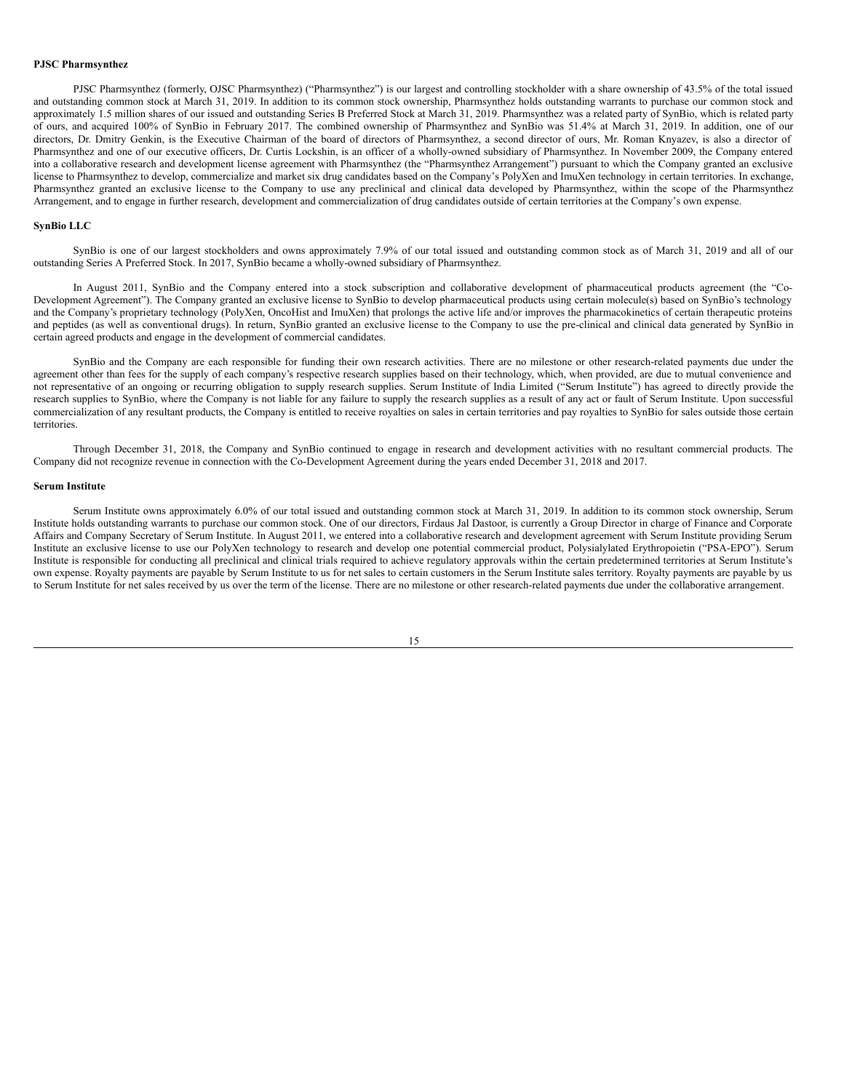#### **PJSC Pharmsynthez**

PJSC Pharmsynthez (formerly, OJSC Pharmsynthez) ("Pharmsynthez") is our largest and controlling stockholder with a share ownership of 43.5% of the total issued and outstanding common stock at March 31, 2019. In addition to its common stock ownership, Pharmsynthez holds outstanding warrants to purchase our common stock and approximately 1.5 million shares of our issued and outstanding Series B Preferred Stock at March 31, 2019. Pharmsynthez was a related party of SynBio, which is related party of ours, and acquired 100% of SynBio in February 2017. The combined ownership of Pharmsynthez and SynBio was 51.4% at March 31, 2019. In addition, one of our directors, Dr. Dmitry Genkin, is the Executive Chairman of the board of directors of Pharmsynthez, a second director of ours, Mr. Roman Knyazev, is also a director of Pharmsynthez and one of our executive officers, Dr. Curtis Lockshin, is an officer of a wholly-owned subsidiary of Pharmsynthez. In November 2009, the Company entered into a collaborative research and development license agreement with Pharmsynthez (the "Pharmsynthez Arrangement") pursuant to which the Company granted an exclusive license to Pharmsynthez to develop, commercialize and market six drug candidates based on the Company's PolyXen and ImuXen technology in certain territories. In exchange, Pharmsynthez granted an exclusive license to the Company to use any preclinical and clinical data developed by Pharmsynthez, within the scope of the Pharmsynthez Arrangement, and to engage in further research, development and commercialization of drug candidates outside of certain territories at the Company's own expense.

### **SynBio LLC**

SynBio is one of our largest stockholders and owns approximately 7.9% of our total issued and outstanding common stock as of March 31, 2019 and all of our outstanding Series A Preferred Stock. In 2017, SynBio became a wholly-owned subsidiary of Pharmsynthez.

In August 2011, SynBio and the Company entered into a stock subscription and collaborative development of pharmaceutical products agreement (the "Co-Development Agreement"). The Company granted an exclusive license to SynBio to develop pharmaceutical products using certain molecule(s) based on SynBio's technology and the Company's proprietary technology (PolyXen, OncoHist and ImuXen) that prolongs the active life and/or improves the pharmacokinetics of certain therapeutic proteins and peptides (as well as conventional drugs). In return, SynBio granted an exclusive license to the Company to use the pre-clinical and clinical data generated by SynBio in certain agreed products and engage in the development of commercial candidates.

SynBio and the Company are each responsible for funding their own research activities. There are no milestone or other research-related payments due under the agreement other than fees for the supply of each company's respective research supplies based on their technology, which, when provided, are due to mutual convenience and not representative of an ongoing or recurring obligation to supply research supplies. Serum Institute of India Limited ("Serum Institute") has agreed to directly provide the research supplies to SynBio, where the Company is not liable for any failure to supply the research supplies as a result of any act or fault of Serum Institute. Upon successful commercialization of any resultant products, the Company is entitled to receive royalties on sales in certain territories and pay royalties to SynBio for sales outside those certain territories.

Through December 31, 2018, the Company and SynBio continued to engage in research and development activities with no resultant commercial products. The Company did not recognize revenue in connection with the Co-Development Agreement during the years ended December 31, 2018 and 2017.

#### **Serum Institute**

Serum Institute owns approximately 6.0% of our total issued and outstanding common stock at March 31, 2019. In addition to its common stock ownership, Serum Institute holds outstanding warrants to purchase our common stock. One of our directors, Firdaus Jal Dastoor, is currently a Group Director in charge of Finance and Corporate Affairs and Company Secretary of Serum Institute. In August 2011, we entered into a collaborative research and development agreement with Serum Institute providing Serum Institute an exclusive license to use our PolyXen technology to research and develop one potential commercial product, Polysialylated Erythropoietin ("PSA-EPO"). Serum Institute is responsible for conducting all preclinical and clinical trials required to achieve regulatory approvals within the certain predetermined territories at Serum Institute's own expense. Royalty payments are payable by Serum Institute to us for net sales to certain customers in the Serum Institute sales territory. Royalty payments are payable by us to Serum Institute for net sales received by us over the term of the license. There are no milestone or other research-related payments due under the collaborative arrangement.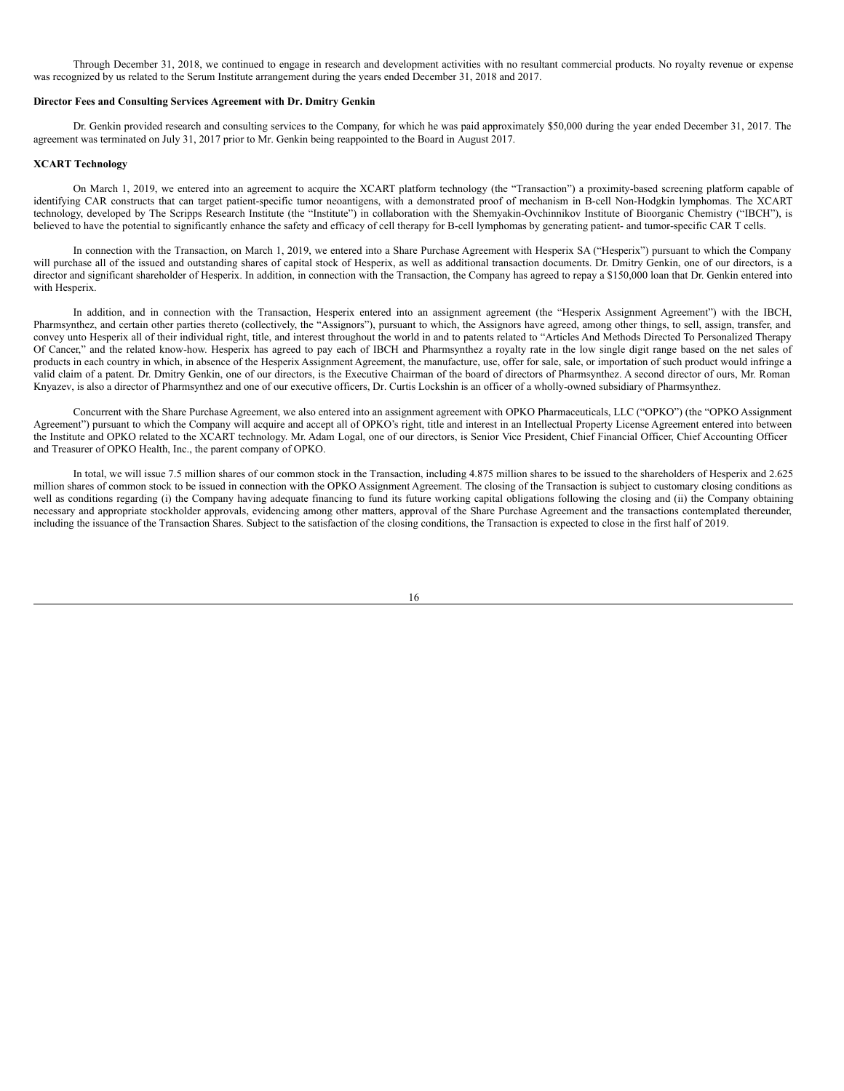Through December 31, 2018, we continued to engage in research and development activities with no resultant commercial products. No royalty revenue or expense was recognized by us related to the Serum Institute arrangement during the years ended December 31, 2018 and 2017.

#### **Director Fees and Consulting Services Agreement with Dr. Dmitry Genkin**

Dr. Genkin provided research and consulting services to the Company, for which he was paid approximately \$50,000 during the year ended December 31, 2017. The agreement was terminated on July 31, 2017 prior to Mr. Genkin being reappointed to the Board in August 2017.

#### **XCART Technology**

On March 1, 2019, we entered into an agreement to acquire the XCART platform technology (the "Transaction") a proximity-based screening platform capable of identifying CAR constructs that can target patient-specific tumor neoantigens, with a demonstrated proof of mechanism in B-cell Non-Hodgkin lymphomas. The XCART technology, developed by The Scripps Research Institute (the "Institute") in collaboration with the Shemyakin-Ovchinnikov Institute of Bioorganic Chemistry ("IBCH"), is believed to have the potential to significantly enhance the safety and efficacy of cell therapy for B-cell lymphomas by generating patient- and tumor-specific CAR T cells.

In connection with the Transaction, on March 1, 2019, we entered into a Share Purchase Agreement with Hesperix SA ("Hesperix") pursuant to which the Company will purchase all of the issued and outstanding shares of capital stock of Hesperix, as well as additional transaction documents. Dr. Dmitry Genkin, one of our directors, is a director and significant shareholder of Hesperix. In addition, in connection with the Transaction, the Company has agreed to repay a \$150,000 loan that Dr. Genkin entered into with Hesperix.

In addition, and in connection with the Transaction, Hesperix entered into an assignment agreement (the "Hesperix Assignment Agreement") with the IBCH, Pharmsynthez, and certain other parties thereto (collectively, the "Assignors"), pursuant to which, the Assignors have agreed, among other things, to sell, assign, transfer, and convey unto Hesperix all of their individual right, title, and interest throughout the world in and to patents related to "Articles And Methods Directed To Personalized Therapy Of Cancer," and the related know-how. Hesperix has agreed to pay each of IBCH and Pharmsynthez a royalty rate in the low single digit range based on the net sales of products in each country in which, in absence of the Hesperix Assignment Agreement, the manufacture, use, offer for sale, sale, or importation of such product would infringe a valid claim of a patent. Dr. Dmitry Genkin, one of our directors, is the Executive Chairman of the board of directors of Pharmsynthez. A second director of ours, Mr. Roman Knyazev, is also a director of Pharmsynthez and one of our executive officers, Dr. Curtis Lockshin is an officer of a wholly-owned subsidiary of Pharmsynthez.

Concurrent with the Share Purchase Agreement, we also entered into an assignment agreement with OPKO Pharmaceuticals, LLC ("OPKO") (the "OPKO Assignment Agreement") pursuant to which the Company will acquire and accept all of OPKO's right, title and interest in an Intellectual Property License Agreement entered into between the Institute and OPKO related to the XCART technology. Mr. Adam Logal, one of our directors, is Senior Vice President, Chief Financial Officer, Chief Accounting Officer and Treasurer of OPKO Health, Inc., the parent company of OPKO.

In total, we will issue 7.5 million shares of our common stock in the Transaction, including 4.875 million shares to be issued to the shareholders of Hesperix and 2.625 million shares of common stock to be issued in connection with the OPKO Assignment Agreement. The closing of the Transaction is subject to customary closing conditions as well as conditions regarding (i) the Company having adequate financing to fund its future working capital obligations following the closing and (ii) the Company obtaining necessary and appropriate stockholder approvals, evidencing among other matters, approval of the Share Purchase Agreement and the transactions contemplated thereunder, including the issuance of the Transaction Shares. Subject to the satisfaction of the closing conditions, the Transaction is expected to close in the first half of 2019.

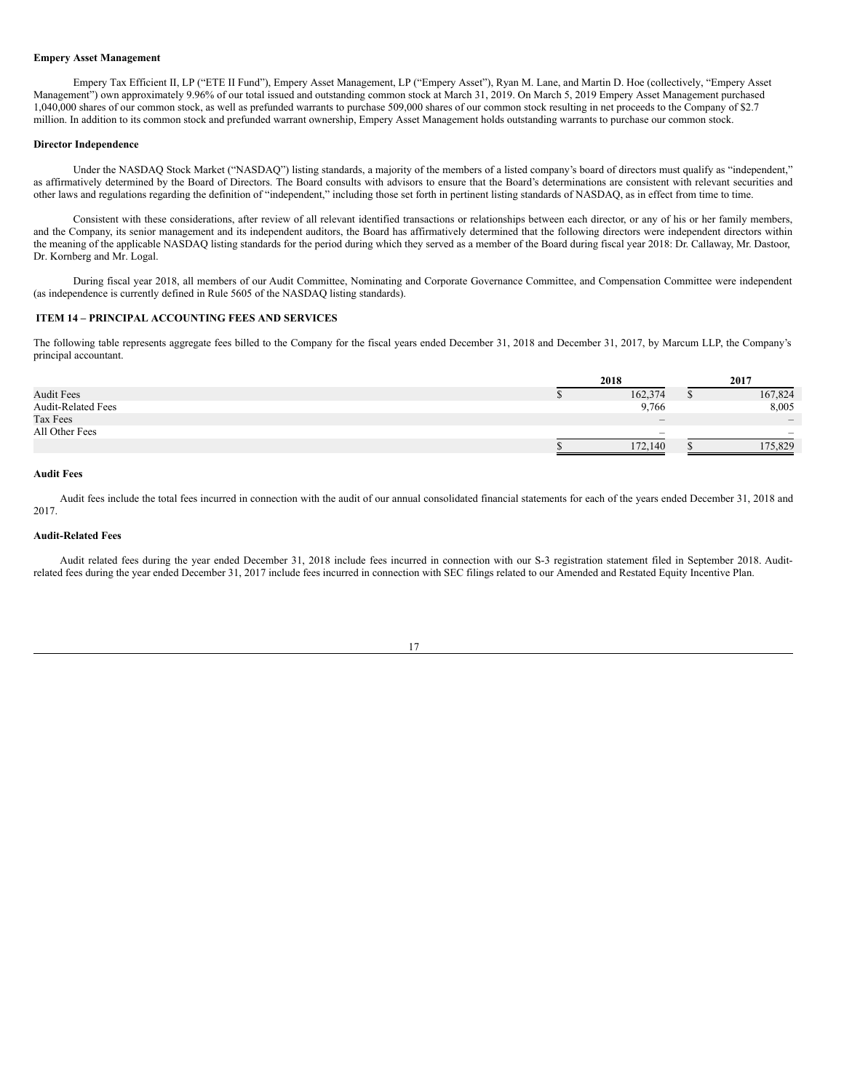### **Empery Asset Management**

Empery Tax Efficient II, LP ("ETE II Fund"), Empery Asset Management, LP ("Empery Asset"), Ryan M. Lane, and Martin D. Hoe (collectively, "Empery Asset Management") own approximately 9.96% of our total issued and outstanding common stock at March 31, 2019. On March 5, 2019 Empery Asset Management purchased 1,040,000 shares of our common stock, as well as prefunded warrants to purchase 509,000 shares of our common stock resulting in net proceeds to the Company of \$2.7 million. In addition to its common stock and prefunded warrant ownership, Empery Asset Management holds outstanding warrants to purchase our common stock.

#### **Director Independence**

Under the NASDAQ Stock Market ("NASDAQ") listing standards, a majority of the members of a listed company's board of directors must qualify as "independent," as affirmatively determined by the Board of Directors. The Board consults with advisors to ensure that the Board's determinations are consistent with relevant securities and other laws and regulations regarding the definition of "independent," including those set forth in pertinent listing standards of NASDAQ, as in effect from time to time.

Consistent with these considerations, after review of all relevant identified transactions or relationships between each director, or any of his or her family members, and the Company, its senior management and its independent auditors, the Board has affirmatively determined that the following directors were independent directors within the meaning of the applicable NASDAQ listing standards for the period during which they served as a member of the Board during fiscal year 2018: Dr. Callaway, Mr. Dastoor, Dr. Kornberg and Mr. Logal.

During fiscal year 2018, all members of our Audit Committee, Nominating and Corporate Governance Committee, and Compensation Committee were independent (as independence is currently defined in Rule 5605 of the NASDAQ listing standards).

#### <span id="page-16-0"></span>**ITEM 14 – PRINCIPAL ACCOUNTING FEES AND SERVICES**

The following table represents aggregate fees billed to the Company for the fiscal years ended December 31, 2018 and December 31, 2017, by Marcum LLP, the Company's principal accountant.

|                           | 2018                            | 2017                         |
|---------------------------|---------------------------------|------------------------------|
| <b>Audit Fees</b>         | 162,374                         | 167,824                      |
| <b>Audit-Related Fees</b> | 9,766                           | 8,005                        |
| Tax Fees                  | $\hspace{0.1mm}-\hspace{0.1mm}$ | $\qquad \qquad \blacksquare$ |
| All Other Fees            | $\hspace{0.1mm}-\hspace{0.1mm}$ |                              |
|                           | 172,140                         | 175,829                      |

## **Audit Fees**

Audit fees include the total fees incurred in connection with the audit of our annual consolidated financial statements for each of the years ended December 31, 2018 and 2017.

# **Audit-Related Fees**

Audit related fees during the year ended December 31, 2018 include fees incurred in connection with our S-3 registration statement filed in September 2018. Auditrelated fees during the year ended December 31, 2017 include fees incurred in connection with SEC filings related to our Amended and Restated Equity Incentive Plan.

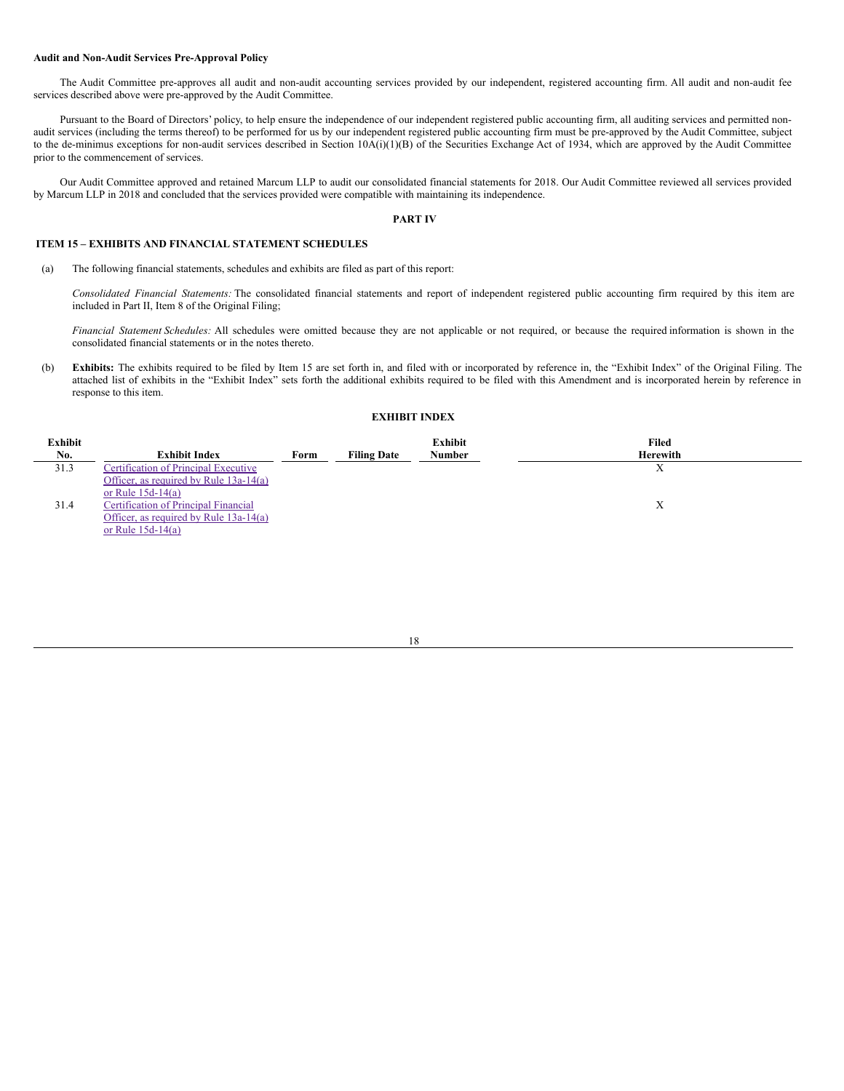### **Audit and Non-Audit Services Pre-Approval Policy**

The Audit Committee pre-approves all audit and non-audit accounting services provided by our independent, registered accounting firm. All audit and non-audit fee services described above were pre-approved by the Audit Committee.

Pursuant to the Board of Directors' policy, to help ensure the independence of our independent registered public accounting firm, all auditing services and permitted nonaudit services (including the terms thereof) to be performed for us by our independent registered public accounting firm must be pre-approved by the Audit Committee, subject to the de-minimus exceptions for non-audit services described in Section 10A(i)(1)(B) of the Securities Exchange Act of 1934, which are approved by the Audit Committee prior to the commencement of services.

Our Audit Committee approved and retained Marcum LLP to audit our consolidated financial statements for 2018. Our Audit Committee reviewed all services provided by Marcum LLP in 2018 and concluded that the services provided were compatible with maintaining its independence.

## <span id="page-17-0"></span>**PART IV**

## <span id="page-17-1"></span>**ITEM 15 – EXHIBITS AND FINANCIAL STATEMENT SCHEDULES**

(a) The following financial statements, schedules and exhibits are filed as part of this report:

*Consolidated Financial Statements:* The consolidated financial statements and report of independent registered public accounting firm required by this item are included in Part II, Item 8 of the Original Filing;

*Financial Statement Schedules:* All schedules were omitted because they are not applicable or not required, or because the required information is shown in the consolidated financial statements or in the notes thereto.

(b) **Exhibits:** The exhibits required to be filed by Item 15 are set forth in, and filed with or incorporated by reference in, the "Exhibit Index" of the Original Filing. The attached list of exhibits in the "Exhibit Index" sets forth the additional exhibits required to be filed with this Amendment and is incorporated herein by reference in response to this item.

### **EXHIBIT INDEX**

| <b>Exhibit</b><br>No. | <b>Exhibit Index</b>                                                                                    | Form | <b>Filing Date</b> | <b>Exhibit</b><br>Number | Filed<br><b>Herewith</b> |
|-----------------------|---------------------------------------------------------------------------------------------------------|------|--------------------|--------------------------|--------------------------|
| 31.3                  | <b>Certification of Principal Executive</b>                                                             |      |                    |                          | л                        |
| 31.4                  | Officer, as required by Rule $13a-14(a)$<br>or Rule $15d-14(a)$<br>Certification of Principal Financial |      |                    |                          |                          |
|                       | Officer, as required by Rule $13a-14(a)$<br>or Rule $15d-14(a)$                                         |      |                    |                          | л                        |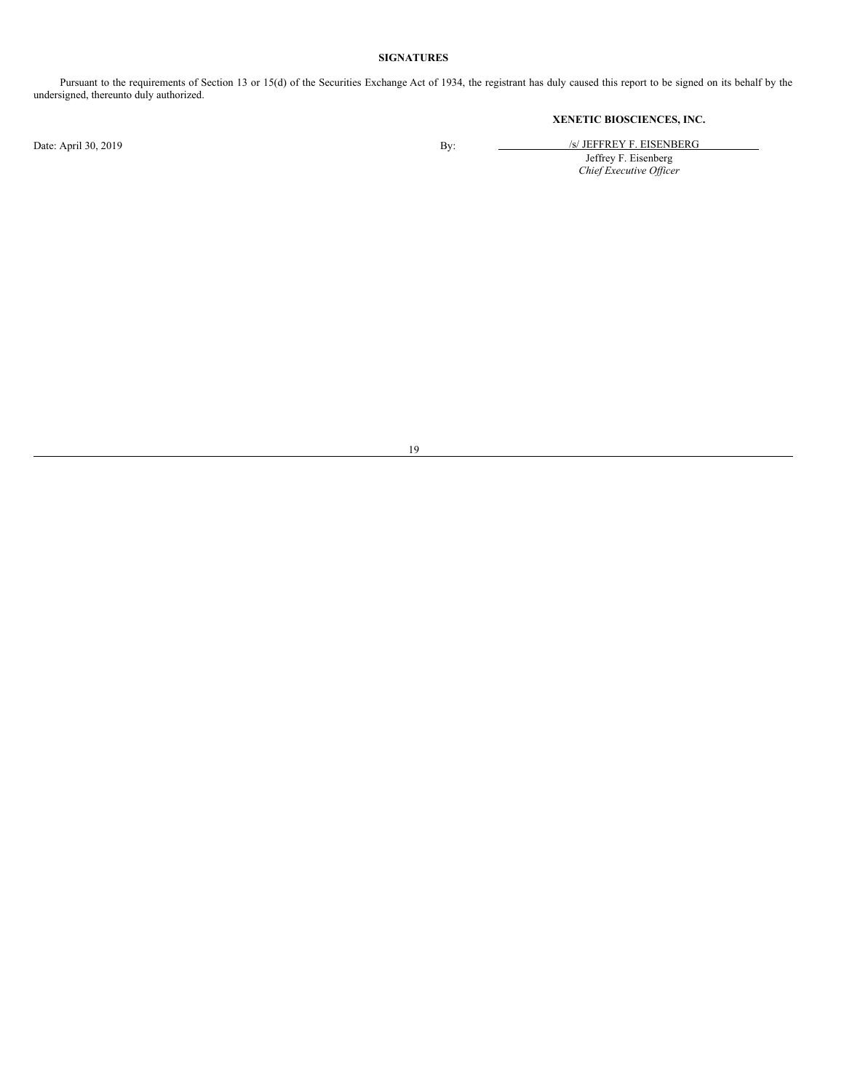# **SIGNATURES**

Pursuant to the requirements of Section 13 or 15(d) of the Securities Exchange Act of 1934, the registrant has duly caused this report to be signed on its behalf by the undersigned, thereunto duly authorized.

# **XENETIC BIOSCIENCES, INC.**

Date: April 30, 2019 By: /s/ JEFFREY F. EISENBERG Jeffrey F. Eisenberg *Chief Executive Of icer*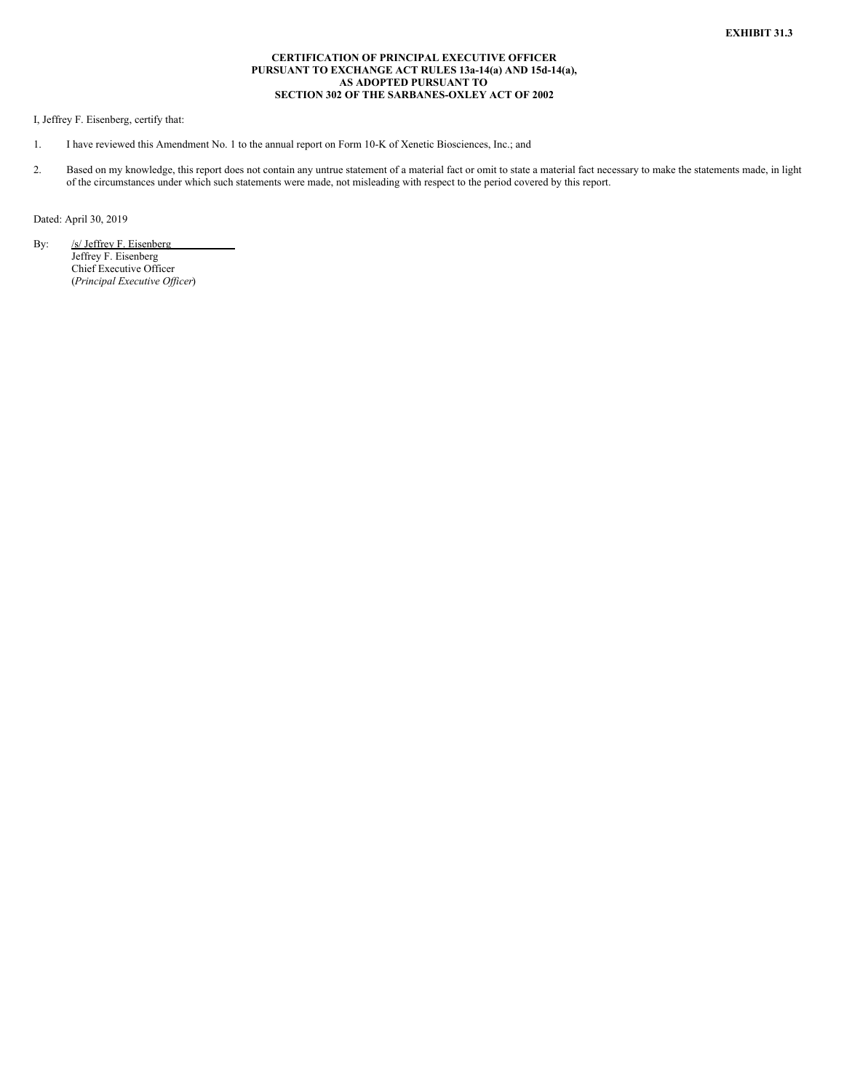### **CERTIFICATION OF PRINCIPAL EXECUTIVE OFFICER PURSUANT TO EXCHANGE ACT RULES 13a-14(a) AND 15d-14(a), AS ADOPTED PURSUANT TO SECTION 302 OF THE SARBANES-OXLEY ACT OF 2002**

<span id="page-19-0"></span>I, Jeffrey F. Eisenberg, certify that:

- 1. I have reviewed this Amendment No. 1 to the annual report on Form 10-K of Xenetic Biosciences, Inc.; and
- 2. Based on my knowledge, this report does not contain any untrue statement of a material fact or omit to state a material fact necessary to make the statements made, in light of the circumstances under which such statements were made, not misleading with respect to the period covered by this report.

Dated: April 30, 2019

By: /s/ Jeffrey F. Eisenberg Jeffrey F. Eisenberg Chief Executive Officer (*Principal Executive Of icer*)